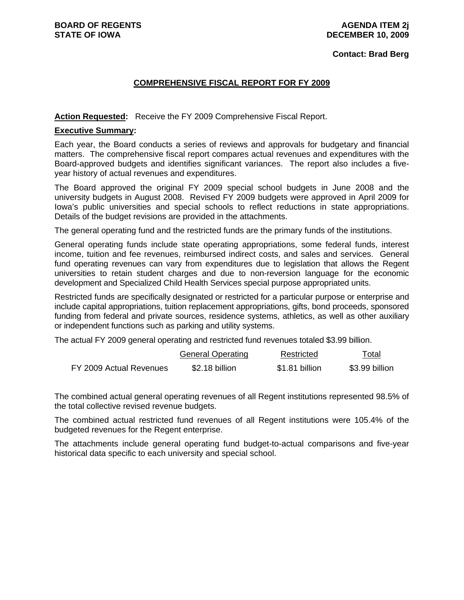#### **Contact: Brad Berg**

### **COMPREHENSIVE FISCAL REPORT FOR FY 2009**

Action Requested: Receive the FY 2009 Comprehensive Fiscal Report.

#### **Executive Summary:**

Each year, the Board conducts a series of reviews and approvals for budgetary and financial matters. The comprehensive fiscal report compares actual revenues and expenditures with the Board-approved budgets and identifies significant variances. The report also includes a fiveyear history of actual revenues and expenditures.

The Board approved the original FY 2009 special school budgets in June 2008 and the university budgets in August 2008. Revised FY 2009 budgets were approved in April 2009 for Iowa's public universities and special schools to reflect reductions in state appropriations. Details of the budget revisions are provided in the attachments.

The general operating fund and the restricted funds are the primary funds of the institutions.

General operating funds include state operating appropriations, some federal funds, interest income, tuition and fee revenues, reimbursed indirect costs, and sales and services. General fund operating revenues can vary from expenditures due to legislation that allows the Regent universities to retain student charges and due to non-reversion language for the economic development and Specialized Child Health Services special purpose appropriated units.

Restricted funds are specifically designated or restricted for a particular purpose or enterprise and include capital appropriations, tuition replacement appropriations, gifts, bond proceeds, sponsored funding from federal and private sources, residence systems, athletics, as well as other auxiliary or independent functions such as parking and utility systems.

The actual FY 2009 general operating and restricted fund revenues totaled \$3.99 billion.

|                         | <b>General Operating</b> | Restricted     | Total          |
|-------------------------|--------------------------|----------------|----------------|
| FY 2009 Actual Revenues | \$2.18 billion           | \$1.81 billion | \$3.99 billion |

The combined actual general operating revenues of all Regent institutions represented 98.5% of the total collective revised revenue budgets.

The combined actual restricted fund revenues of all Regent institutions were 105.4% of the budgeted revenues for the Regent enterprise.

The attachments include general operating fund budget-to-actual comparisons and five-year historical data specific to each university and special school.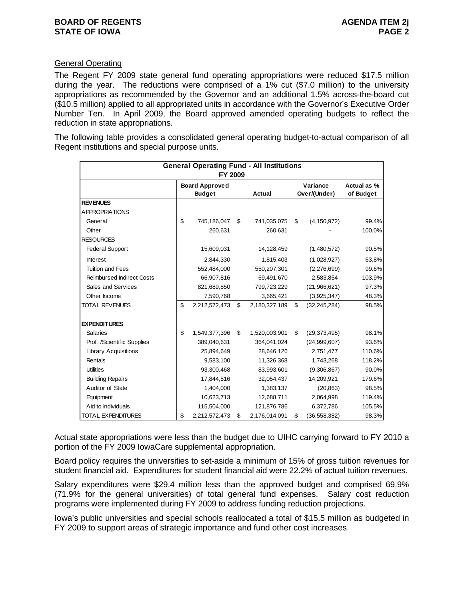### **General Operating**

The Regent FY 2009 state general fund operating appropriations were reduced \$17.5 million during the year. The reductions were comprised of a 1% cut (\$7.0 million) to the university appropriations as recommended by the Governor and an additional 1.5% across-the-board cut (\$10.5 million) applied to all appropriated units in accordance with the Governor's Executive Order Number Ten. In April 2009, the Board approved amended operating budgets to reflect the reduction in state appropriations.

The following table provides a consolidated general operating budget-to-actual comparison of all Regent institutions and special purpose units.

|                                  | FY 2009                                | <b>General Operating Fund - All Institutions</b> |                          |                          |
|----------------------------------|----------------------------------------|--------------------------------------------------|--------------------------|--------------------------|
|                                  | <b>Board Approved</b><br><b>Budget</b> | Actual                                           | Variance<br>Over/(Under) | Actual as %<br>of Budget |
| <b>REV ENUES</b>                 |                                        |                                                  |                          |                          |
| <b>APPROPRIATIONS</b>            |                                        |                                                  |                          |                          |
| General                          | \$<br>745,186,047                      | \$<br>741,035,075                                | \$<br>(4, 150, 972)      | 99.4%                    |
| Other                            | 260,631                                | 260,631                                          |                          | 100.0%                   |
| <b>RESOURCES</b>                 |                                        |                                                  |                          |                          |
| <b>Federal Support</b>           | 15,609,031                             | 14,128,459                                       | (1,480,572)              | 90.5%                    |
| Interest                         | 2,844,330                              | 1,815,403                                        | (1,028,927)              | 63.8%                    |
| <b>Tuition and Fees</b>          | 552,484,000                            | 550,207,301                                      | (2,276,699)              | 99.6%                    |
| <b>Reimbursed Indirect Costs</b> | 66,907,816                             | 69,491,670                                       | 2,583,854                | 103.9%                   |
| Sales and Services               | 821,689,850                            | 799,723,229                                      | (21,966,621)             | 97.3%                    |
| Other Income                     | 7,590,768                              | 3,665,421                                        | (3,925,347)              | 48.3%                    |
| <b>TOTAL REVENUES</b>            | \$<br>2,212,572,473                    | \$<br>2,180,327,189                              | \$<br>(32, 245, 284)     | 98.5%                    |
| <b>EXPENDITURES</b>              |                                        |                                                  |                          |                          |
| <b>Salaries</b>                  | \$<br>1,549,377,396                    | \$<br>1,520,003,901                              | \$<br>(29, 373, 495)     | 98.1%                    |
| Prof. /Scientific Supplies       | 389,040,631                            | 364,041,024                                      | (24,999,607)             | 93.6%                    |
| <b>Library Acquisitions</b>      | 25,894,649                             | 28,646,126                                       | 2,751,477                | 110.6%                   |
| Rentals                          | 9,583,100                              | 11,326,368                                       | 1,743,268                | 118.2%                   |
| <b>Utilities</b>                 | 93,300,468                             | 83,993,601                                       | (9,306,867)              | 90.0%                    |
| <b>Building Repairs</b>          | 17,844,516                             | 32,054,437                                       | 14,209,921               | 179.6%                   |
| Auditor of State                 | 1,404,000                              | 1,383,137                                        | (20, 863)                | 98.5%                    |
| Equipment                        | 10,623,713                             | 12,688,711                                       | 2,064,998                | 119.4%                   |
| Aid to Individuals               | 115,504,000                            | 121,876,786                                      | 6,372,786                | 105.5%                   |
| <b>TOTAL EXPENDITURES</b>        | \$<br>2,212,572,473                    | \$<br>2,176,014,091                              | \$<br>(36, 558, 382)     | 98.3%                    |

Actual state appropriations were less than the budget due to UIHC carrying forward to FY 2010 a portion of the FY 2009 IowaCare supplemental appropriation.

Board policy requires the universities to set-aside a minimum of 15% of gross tuition revenues for student financial aid. Expenditures for student financial aid were 22.2% of actual tuition revenues.

Salary expenditures were \$29.4 million less than the approved budget and comprised 69.9% (71.9% for the general universities) of total general fund expenses. Salary cost reduction programs were implemented during FY 2009 to address funding reduction projections.

Iowa's public universities and special schools reallocated a total of \$15.5 million as budgeted in FY 2009 to support areas of strategic importance and fund other cost increases.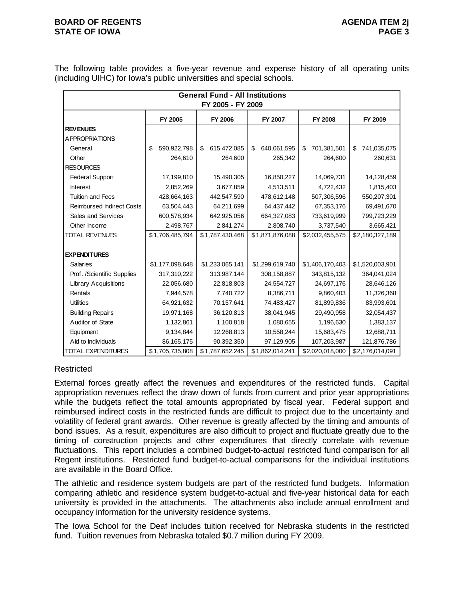### **BOARD OF REGENTS AGENUS AGENDA ITEM 2j STATE OF IOWA** PAGE 3

The following table provides a five-year revenue and expense history of all operating units (including UIHC) for Iowa's public universities and special schools.

|                                  |                   | <b>General Fund - All Institutions</b><br>FY 2005 - FY 2009 |                   |                   |                   |
|----------------------------------|-------------------|-------------------------------------------------------------|-------------------|-------------------|-------------------|
|                                  | FY 2005           | <b>FY 2006</b>                                              | FY 2007           | <b>FY 2008</b>    | FY 2009           |
| <b>REVENUES</b>                  |                   |                                                             |                   |                   |                   |
| A PPROPRIATIONS                  |                   |                                                             |                   |                   |                   |
| General                          | 590,922,798<br>\$ | \$<br>615,472,085                                           | \$<br>640,061,595 | 701,381,501<br>\$ | \$<br>741,035,075 |
| Other                            | 264,610           | 264,600                                                     | 265,342           | 264,600           | 260,631           |
| <b>RESOURCES</b>                 |                   |                                                             |                   |                   |                   |
| <b>Federal Support</b>           | 17,199,810        | 15,490,305                                                  | 16,850,227        | 14,069,731        | 14,128,459        |
| <b>Interest</b>                  | 2,852,269         | 3,677,859                                                   | 4,513,511         | 4,722,432         | 1,815,403         |
| <b>Tuition and Fees</b>          | 428,664,163       | 442,547,590                                                 | 478,612,148       | 507,306,596       | 550,207,301       |
| <b>Reimbursed Indirect Costs</b> | 63,504,443        | 64,211,699                                                  | 64,437,442        | 67,353,176        | 69,491,670        |
| Sales and Services               | 600,578,934       | 642,925,056                                                 | 664,327,083       | 733,619,999       | 799,723,229       |
| Other Income                     | 2,498,767         | 2,841,274                                                   | 2,808,740         | 3,737,540         | 3,665,421         |
| <b>TOTAL REVENUES</b>            | \$1,706,485,794   | \$1,787,430,468                                             | \$1,871,876,088   | \$2,032,455,575   | \$2,180,327,189   |
|                                  |                   |                                                             |                   |                   |                   |
| <b>EXPENDITURES</b>              |                   |                                                             |                   |                   |                   |
| <b>Salaries</b>                  | \$1,177,098,648   | \$1,233,065,141                                             | \$1,299,619,740   | \$1,406,170,403   | \$1,520,003,901   |
| Prof. /Scientific Supplies       | 317,310,222       | 313,987,144                                                 | 308,158,887       | 343,815,132       | 364,041,024       |
| <b>Library Acquisitions</b>      | 22,056,680        | 22,818,803                                                  | 24,554,727        | 24,697,176        | 28,646,126        |
| Rentals                          | 7,944,578         | 7,740,722                                                   | 8,386,711         | 9,860,403         | 11,326,368        |
| <b>Utilities</b>                 | 64,921,632        | 70,157,641                                                  | 74,483,427        | 81,899,836        | 83,993,601        |
| <b>Building Repairs</b>          | 19,971,168        | 36,120,813                                                  | 38,041,945        | 29,490,958        | 32,054,437        |
| Auditor of State                 | 1,132,861         | 1,100,818                                                   | 1,080,655         | 1,196,630         | 1,383,137         |
| Equipment                        | 9,134,844         | 12,268,813                                                  | 10,558,244        | 15,683,475        | 12,688,711        |
| Aid to Individuals               | 86,165,175        | 90,392,350                                                  | 97,129,905        | 107,203,987       | 121,876,786       |
| <b>TOTAL EXPENDITURES</b>        | \$1,705,735,808   | \$1,787,652,245                                             | \$1,862,014,241   | \$2,020,018,000   | \$2,176,014,091   |

# Restricted

External forces greatly affect the revenues and expenditures of the restricted funds. Capital appropriation revenues reflect the draw down of funds from current and prior year appropriations while the budgets reflect the total amounts appropriated by fiscal year. Federal support and reimbursed indirect costs in the restricted funds are difficult to project due to the uncertainty and volatility of federal grant awards. Other revenue is greatly affected by the timing and amounts of bond issues. As a result, expenditures are also difficult to project and fluctuate greatly due to the timing of construction projects and other expenditures that directly correlate with revenue fluctuations. This report includes a combined budget-to-actual restricted fund comparison for all Regent institutions. Restricted fund budget-to-actual comparisons for the individual institutions are available in the Board Office.

The athletic and residence system budgets are part of the restricted fund budgets. Information comparing athletic and residence system budget-to-actual and five-year historical data for each university is provided in the attachments. The attachments also include annual enrollment and occupancy information for the university residence systems.

The Iowa School for the Deaf includes tuition received for Nebraska students in the restricted fund. Tuition revenues from Nebraska totaled \$0.7 million during FY 2009.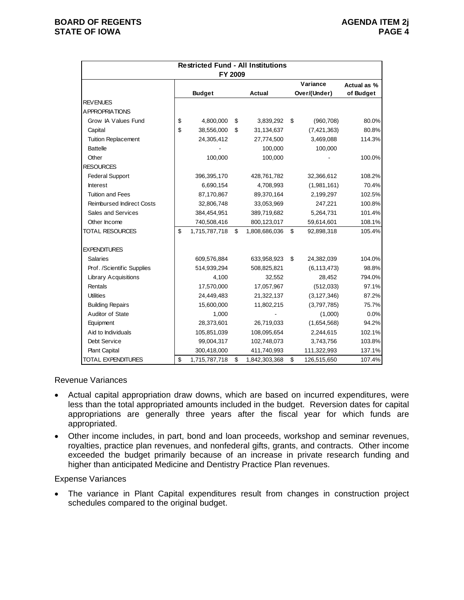|                                  | <b>Restricted Fund - All Institutions</b> |                     |                   |             |
|----------------------------------|-------------------------------------------|---------------------|-------------------|-------------|
|                                  | FY 2009                                   |                     |                   |             |
|                                  |                                           |                     | Variance          | Actual as % |
|                                  | <b>Budget</b>                             | <b>Actual</b>       | Over/(Under)      | of Budget   |
| <b>REVENUES</b>                  |                                           |                     |                   |             |
| <b>APPROPRIATIONS</b>            |                                           |                     |                   |             |
| Grow IA Values Fund              | \$<br>4,800,000                           | \$<br>3,839,292     | \$<br>(960, 708)  | 80.0%       |
| Capital                          | \$<br>38,556,000                          | \$<br>31,134,637    | (7, 421, 363)     | 80.8%       |
| <b>Tuition Replacement</b>       | 24,305,412                                | 27,774,500          | 3,469,088         | 114.3%      |
| <b>Battelle</b>                  |                                           | 100,000             | 100,000           |             |
| Other                            | 100,000                                   | 100,000             |                   | 100.0%      |
| <b>RESOURCES</b>                 |                                           |                     |                   |             |
| <b>Federal Support</b>           | 396,395,170                               | 428,761,782         | 32,366,612        | 108.2%      |
| <b>Interest</b>                  | 6,690,154                                 | 4,708,993           | (1,981,161)       | 70.4%       |
| <b>Tuition and Fees</b>          | 87,170,867                                | 89,370,164          | 2,199,297         | 102.5%      |
| <b>Reimbursed Indirect Costs</b> | 32,806,748                                | 33,053,969          | 247,221           | 100.8%      |
| Sales and Services               | 384,454,951                               | 389,719,682         | 5,264,731         | 101.4%      |
| Other Income                     | 740,508,416                               | 800,123,017         | 59,614,601        | 108.1%      |
| <b>TOTAL RESOURCES</b>           | \$<br>1,715,787,718                       | \$<br>1,808,686,036 | \$<br>92,898,318  | 105.4%      |
| <b>EXPENDITURES</b>              |                                           |                     |                   |             |
| <b>Salaries</b>                  | 609,576,884                               | 633,958,923         | \$<br>24,382,039  | 104.0%      |
| Prof. /Scientific Supplies       | 514,939,294                               | 508,825,821         | (6, 113, 473)     | 98.8%       |
| <b>Library Acquisitions</b>      | 4,100                                     | 32,552              | 28,452            | 794.0%      |
| Rentals                          | 17,570,000                                | 17,057,967          | (512,033)         | 97.1%       |
| <b>Utilities</b>                 | 24,449,483                                | 21,322,137          | (3, 127, 346)     | 87.2%       |
| <b>Building Repairs</b>          | 15,600,000                                | 11,802,215          | (3,797,785)       | 75.7%       |
| Auditor of State                 | 1,000                                     |                     | (1,000)           | 0.0%        |
| Equipment                        | 28,373,601                                | 26,719,033          | (1,654,568)       | 94.2%       |
| Aid to Individuals               | 105,851,039                               | 108,095,654         | 2,244,615         | 102.1%      |
| Debt Service                     | 99,004,317                                | 102,748,073         | 3,743,756         | 103.8%      |
| <b>Plant Capital</b>             | 300,418,000                               | 411,740,993         | 111,322,993       | 137.1%      |
| <b>TOTAL EXPENDITURES</b>        | \$<br>1,715,787,718                       | \$<br>1,842,303,368 | \$<br>126,515,650 | 107.4%      |

#### Revenue Variances

- Actual capital appropriation draw downs, which are based on incurred expenditures, were less than the total appropriated amounts included in the budget. Reversion dates for capital appropriations are generally three years after the fiscal year for which funds are appropriated.
- Other income includes, in part, bond and loan proceeds, workshop and seminar revenues, royalties, practice plan revenues, and nonfederal gifts, grants, and contracts. Other income exceeded the budget primarily because of an increase in private research funding and higher than anticipated Medicine and Dentistry Practice Plan revenues.

#### Expense Variances

 The variance in Plant Capital expenditures result from changes in construction project schedules compared to the original budget.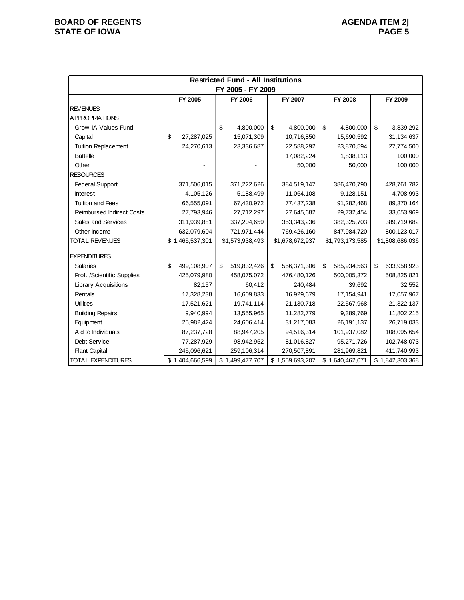|                                  | <b>Restricted Fund - All Institutions</b> |                   |                   |                   |                     |  |  |  |  |  |  |
|----------------------------------|-------------------------------------------|-------------------|-------------------|-------------------|---------------------|--|--|--|--|--|--|
|                                  |                                           | FY 2005 - FY 2009 |                   |                   |                     |  |  |  |  |  |  |
|                                  | FY 2005                                   | FY 2006           | FY 2007           | FY 2008           | FY 2009             |  |  |  |  |  |  |
| <b>REVENUES</b>                  |                                           |                   |                   |                   |                     |  |  |  |  |  |  |
| A PPROPRIATIONS                  |                                           |                   |                   |                   |                     |  |  |  |  |  |  |
| Grow IA Values Fund              |                                           | \$<br>4,800,000   | \$<br>4,800,000   | \$<br>4,800,000   | \$<br>3,839,292     |  |  |  |  |  |  |
| Capital                          | \$<br>27,287,025                          | 15,071,309        | 10,716,850        | 15,690,592        | 31,134,637          |  |  |  |  |  |  |
| <b>Tuition Replacement</b>       | 24,270,613                                | 23,336,687        | 22,588,292        | 23,870,594        | 27,774,500          |  |  |  |  |  |  |
| <b>Battelle</b>                  |                                           |                   | 17,082,224        | 1,838,113         | 100,000             |  |  |  |  |  |  |
| Other                            |                                           |                   | 50,000            | 50,000            | 100,000             |  |  |  |  |  |  |
| <b>RESOURCES</b>                 |                                           |                   |                   |                   |                     |  |  |  |  |  |  |
| <b>Federal Support</b>           | 371,506,015                               | 371,222,626       | 384,519,147       | 386,470,790       | 428,761,782         |  |  |  |  |  |  |
| <b>Interest</b>                  | 4,105,126                                 | 5,188,499         | 11,064,108        | 9,128,151         | 4,708,993           |  |  |  |  |  |  |
| Tuition and Fees                 | 66,555,091                                | 67,430,972        | 77,437,238        | 91,282,468        | 89,370,164          |  |  |  |  |  |  |
| <b>Reimbursed Indirect Costs</b> | 27,793,946                                | 27,712,297        | 27,645,682        | 29,732,454        | 33,053,969          |  |  |  |  |  |  |
| Sales and Services               | 311,939,881                               | 337,204,659       | 353,343,236       | 382,325,703       | 389,719,682         |  |  |  |  |  |  |
| Other Income                     | 632,079,604                               | 721,971,444       | 769,426,160       | 847,984,720       | 800,123,017         |  |  |  |  |  |  |
| <b>TOTAL REVENUES</b>            | \$1,465,537,301                           | \$1,573,938,493   | \$1,678,672,937   | \$1,793,173,585   | \$1,808,686,036     |  |  |  |  |  |  |
|                                  |                                           |                   |                   |                   |                     |  |  |  |  |  |  |
| <b>EXPENDITURES</b>              |                                           |                   |                   |                   |                     |  |  |  |  |  |  |
| <b>Salaries</b>                  | \$<br>499,108,907                         | \$<br>519,832,426 | \$<br>556,371,306 | \$<br>585,934,563 | \$<br>633,958,923   |  |  |  |  |  |  |
| Prof. /Scientific Supplies       | 425,079,980                               | 458,075,072       | 476,480,126       | 500,005,372       | 508,825,821         |  |  |  |  |  |  |
| <b>Library Acquisitions</b>      | 82,157                                    | 60,412            | 240,484           | 39,692            | 32,552              |  |  |  |  |  |  |
| Rentals                          | 17,328,238                                | 16,609,833        | 16,929,679        | 17,154,941        | 17,057,967          |  |  |  |  |  |  |
| <b>Utilities</b>                 | 17,521,621                                | 19,741,114        | 21,130,718        | 22,567,968        | 21,322,137          |  |  |  |  |  |  |
| <b>Building Repairs</b>          | 9,940,994                                 | 13,555,965        | 11,282,779        | 9,389,769         | 11,802,215          |  |  |  |  |  |  |
| Equipment                        | 25,982,424                                | 24,606,414        | 31,217,083        | 26,191,137        | 26,719,033          |  |  |  |  |  |  |
| Aid to Individuals               | 87,237,728                                | 88,947,205        | 94,516,314        | 101,937,082       | 108,095,654         |  |  |  |  |  |  |
| Debt Service                     | 77,287,929                                | 98,942,952        | 81,016,827        | 95,271,726        | 102,748,073         |  |  |  |  |  |  |
| <b>Plant Capital</b>             | 245,096,621                               | 259,106,314       | 270,507,891       | 281,969,821       | 411,740,993         |  |  |  |  |  |  |
| TOTAL EXPENDITURES               | \$1,404,666,599                           | \$1,499,477,707   | \$1,559,693,207   | \$1,640,462,071   | \$<br>1,842,303,368 |  |  |  |  |  |  |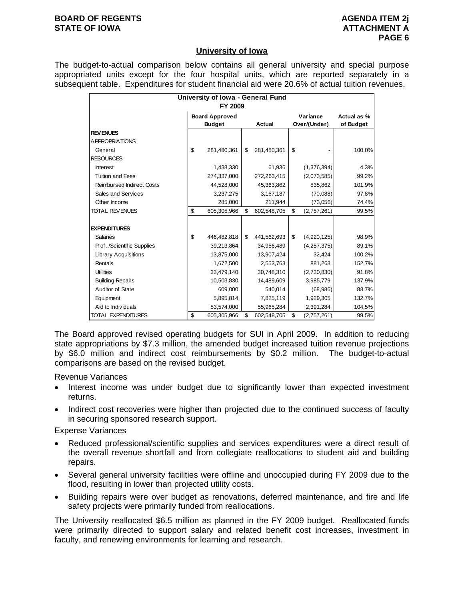#### **BOARD OF REGENTS AGENUS AGENDA ITEM 2j STATE OF IOWA ATTACHMENT A**

### **University of Iowa**

The budget-to-actual comparison below contains all general university and special purpose appropriated units except for the four hospital units, which are reported separately in a subsequent table. Expenditures for student financial aid were 20.6% of actual tuition revenues.

| University of Iowa - General Fund<br>FY 2009 |    |                                        |    |             |    |                          |                          |  |  |
|----------------------------------------------|----|----------------------------------------|----|-------------|----|--------------------------|--------------------------|--|--|
|                                              |    | <b>Board Approved</b><br><b>Budget</b> |    | Actual      |    | Variance<br>Over/(Under) | Actual as %<br>of Budget |  |  |
| <b>REVENUES</b>                              |    |                                        |    |             |    |                          |                          |  |  |
| A PPROPRIATIONS                              |    |                                        |    |             |    |                          |                          |  |  |
| General                                      | \$ | 281,480,361                            | \$ | 281,480,361 | \$ |                          | 100.0%                   |  |  |
| <b>RESOURCES</b>                             |    |                                        |    |             |    |                          |                          |  |  |
| <b>Interest</b>                              |    | 1,438,330                              |    | 61,936      |    | (1,376,394)              | 4.3%                     |  |  |
| <b>Tuition and Fees</b>                      |    | 274,337,000                            |    | 272,263,415 |    | (2,073,585)              | 99.2%                    |  |  |
| <b>Reimbursed Indirect Costs</b>             |    | 44,528,000                             |    | 45,363,862  |    | 835,862                  | 101.9%                   |  |  |
| Sales and Services                           |    | 3,237,275                              |    | 3,167,187   |    | (70,088)                 | 97.8%                    |  |  |
| Other Income                                 |    | 285,000                                |    | 211,944     |    | (73,056)                 | 74.4%                    |  |  |
| <b>TOTAL REVENUES</b>                        | \$ | 605,305,966                            | \$ | 602,548,705 | \$ | (2,757,261)              | 99.5%                    |  |  |
|                                              |    |                                        |    |             |    |                          |                          |  |  |
| <b>EXPENDITURES</b>                          |    |                                        |    |             |    |                          |                          |  |  |
| <b>Salaries</b>                              | \$ | 446,482,818                            | \$ | 441,562,693 | \$ | (4,920,125)              | 98.9%                    |  |  |
| Prof. /Scientific Supplies                   |    | 39,213,864                             |    | 34,956,489  |    | (4,257,375)              | 89.1%                    |  |  |
| <b>Library Acquisitions</b>                  |    | 13,875,000                             |    | 13,907,424  |    | 32,424                   | 100.2%                   |  |  |
| Rentals                                      |    | 1,672,500                              |    | 2,553,763   |    | 881,263                  | 152.7%                   |  |  |
| <b>Utilities</b>                             |    | 33,479,140                             |    | 30,748,310  |    | (2,730,830)              | 91.8%                    |  |  |
| <b>Building Repairs</b>                      |    | 10,503,830                             |    | 14,489,609  |    | 3,985,779                | 137.9%                   |  |  |
| Auditor of State                             |    | 609,000                                |    | 540,014     |    | (68,986)                 | 88.7%                    |  |  |
| Equipment                                    |    | 5,895,814                              |    | 7,825,119   |    | 1,929,305                | 132.7%                   |  |  |
| Aid to Individuals                           |    | 53,574,000                             |    | 55,965,284  |    | 2,391,284                | 104.5%                   |  |  |
| <b>TOTAL EXPENDITURES</b>                    | \$ | 605,305,966                            | \$ | 602,548,705 | \$ | (2,757,261)              | 99.5%                    |  |  |

The Board approved revised operating budgets for SUI in April 2009. In addition to reducing state appropriations by \$7.3 million, the amended budget increased tuition revenue projections by \$6.0 million and indirect cost reimbursements by \$0.2 million. The budget-to-actual comparisons are based on the revised budget.

Revenue Variances

- Interest income was under budget due to significantly lower than expected investment returns.
- Indirect cost recoveries were higher than projected due to the continued success of faculty in securing sponsored research support.

Expense Variances

- Reduced professional/scientific supplies and services expenditures were a direct result of the overall revenue shortfall and from collegiate reallocations to student aid and building repairs.
- Several general university facilities were offline and unoccupied during FY 2009 due to the flood, resulting in lower than projected utility costs.
- Building repairs were over budget as renovations, deferred maintenance, and fire and life safety projects were primarily funded from reallocations.

The University reallocated \$6.5 million as planned in the FY 2009 budget. Reallocated funds were primarily directed to support salary and related benefit cost increases, investment in faculty, and renewing environments for learning and research.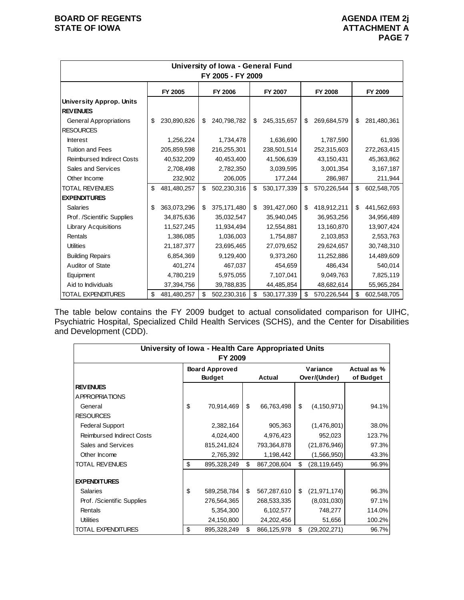|                                  |                   | University of Iowa - General Fund<br>FY 2005 - FY 2009 |                     |                   |                   |
|----------------------------------|-------------------|--------------------------------------------------------|---------------------|-------------------|-------------------|
|                                  | FY 2005           | FY 2006                                                | FY 2007             | FY 2008           | FY 2009           |
| <b>University Approp. Units</b>  |                   |                                                        |                     |                   |                   |
| <b>REVENUES</b>                  |                   |                                                        |                     |                   |                   |
| <b>General Appropriations</b>    | \$<br>230,890,826 | \$<br>240,798,782                                      | \$<br>245,315,657   | \$<br>269,684,579 | \$<br>281,480,361 |
| <b>RESOURCES</b>                 |                   |                                                        |                     |                   |                   |
| <b>Interest</b>                  | 1,256,224         | 1,734,478                                              | 1,636,690           | 1,787,590         | 61,936            |
| <b>Tuition and Fees</b>          | 205,859,598       | 216,255,301                                            | 238,501,514         | 252,315,603       | 272,263,415       |
| <b>Reimbursed Indirect Costs</b> | 40,532,209        | 40,453,400                                             | 41,506,639          | 43,150,431        | 45,363,862        |
| Sales and Services               | 2,708,498         | 2,782,350                                              | 3,039,595           | 3,001,354         | 3,167,187         |
| Other Income                     | 232,902           | 206,005                                                | 177,244             | 286,987           | 211,944           |
| <b>TOTAL REVENUES</b>            | \$<br>481,480,257 | \$<br>502,230,316                                      | \$<br>530, 177, 339 | \$<br>570,226,544 | \$<br>602,548,705 |
| <b>EXPENDITURES</b>              |                   |                                                        |                     |                   |                   |
| <b>Salaries</b>                  | \$<br>363,073,296 | \$<br>375,171,480                                      | \$<br>391,427,060   | \$<br>418,912,211 | \$<br>441,562,693 |
| Prof. /Scientific Supplies       | 34,875,636        | 35,032,547                                             | 35,940,045          | 36,953,256        | 34,956,489        |
| <b>Library Acquisitions</b>      | 11,527,245        | 11,934,494                                             | 12,554,881          | 13,160,870        | 13,907,424        |
| Rentals                          | 1,386,085         | 1,036,003                                              | 1,754,887           | 2,103,853         | 2,553,763         |
| <b>Utilities</b>                 | 21,187,377        | 23,695,465                                             | 27,079,652          | 29,624,657        | 30,748,310        |
| <b>Building Repairs</b>          | 6,854,369         | 9,129,400                                              | 9,373,260           | 11,252,886        | 14,489,609        |
| Auditor of State                 | 401,274           | 467,037                                                | 454,659             | 486,434           | 540,014           |
| Equipment                        | 4,780,219         | 5,975,055                                              | 7,107,041           | 9,049,763         | 7,825,119         |
| Aid to Individuals               | 37,394,756        | 39,788,835                                             | 44,485,854          | 48,682,614        | 55,965,284        |
| <b>TOTAL EXPENDITURES</b>        | \$<br>481,480,257 | \$<br>502,230,316                                      | \$<br>530, 177, 339 | \$<br>570,226,544 | \$<br>602,548,705 |

The table below contains the FY 2009 budget to actual consolidated comparison for UIHC, Psychiatric Hospital, Specialized Child Health Services (SCHS), and the Center for Disabilities and Development (CDD).

| University of Iowa - Health Care Appropriated Units<br>FY 2009 |    |                                                  |    |             |    |                          |                          |  |  |  |
|----------------------------------------------------------------|----|--------------------------------------------------|----|-------------|----|--------------------------|--------------------------|--|--|--|
|                                                                |    | <b>Board Approved</b><br><b>Budget</b><br>Actual |    |             |    | Variance<br>Over/(Under) | Actual as %<br>of Budget |  |  |  |
| <b>REVENUES</b>                                                |    |                                                  |    |             |    |                          |                          |  |  |  |
| A PPROPRIATIONS                                                |    |                                                  |    |             |    |                          |                          |  |  |  |
| General                                                        | \$ | 70,914,469                                       | \$ | 66,763,498  | \$ | (4, 150, 971)            | 94.1%                    |  |  |  |
| <b>RESOURCES</b>                                               |    |                                                  |    |             |    |                          |                          |  |  |  |
| <b>Federal Support</b>                                         |    | 2,382,164                                        |    | 905,363     |    | (1,476,801)              | 38.0%                    |  |  |  |
| <b>Reimbursed Indirect Costs</b>                               |    | 4,024,400                                        |    | 4,976,423   |    | 952,023                  | 123.7%                   |  |  |  |
| Sales and Services                                             |    | 815,241,824                                      |    | 793,364,878 |    | (21,876,946)             | 97.3%                    |  |  |  |
| Other Income                                                   |    | 2,765,392                                        |    | 1,198,442   |    | (1,566,950)              | 43.3%                    |  |  |  |
| <b>TOTAL REVENUES</b>                                          | \$ | 895,328,249                                      | \$ | 867,208,604 | \$ | (28, 119, 645)           | 96.9%                    |  |  |  |
| <b>EXPENDITURES</b>                                            |    |                                                  |    |             |    |                          |                          |  |  |  |
| <b>Salaries</b>                                                | \$ | 589,258,784                                      | \$ | 567,287,610 | \$ | (21, 971, 174)           | 96.3%                    |  |  |  |
| Prof. /Scientific Supplies                                     |    | 276,564,365                                      |    | 268,533,335 |    | (8,031,030)              | 97.1%                    |  |  |  |
| Rentals                                                        |    | 5,354,300                                        |    | 6,102,577   |    | 748,277                  | 114.0%                   |  |  |  |
| <b>Utilities</b>                                               |    | 24,150,800                                       |    | 24,202,456  |    | 51,656                   | 100.2%                   |  |  |  |
| TOTAL EXPENDITURES                                             | \$ | 895,328,249                                      | \$ | 866,125,978 | \$ | (29,202,271)             | 96.7%                    |  |  |  |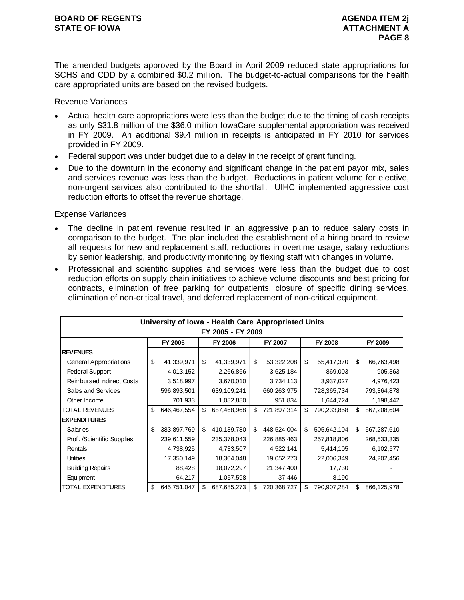The amended budgets approved by the Board in April 2009 reduced state appropriations for SCHS and CDD by a combined \$0.2 million. The budget-to-actual comparisons for the health care appropriated units are based on the revised budgets.

Revenue Variances

- Actual health care appropriations were less than the budget due to the timing of cash receipts as only \$31.8 million of the \$36.0 million IowaCare supplemental appropriation was received in FY 2009. An additional \$9.4 million in receipts is anticipated in FY 2010 for services provided in FY 2009.
- Federal support was under budget due to a delay in the receipt of grant funding.
- Due to the downturn in the economy and significant change in the patient payor mix, sales and services revenue was less than the budget. Reductions in patient volume for elective, non-urgent services also contributed to the shortfall. UIHC implemented aggressive cost reduction efforts to offset the revenue shortage.

- The decline in patient revenue resulted in an aggressive plan to reduce salary costs in comparison to the budget. The plan included the establishment of a hiring board to review all requests for new and replacement staff, reductions in overtime usage, salary reductions by senior leadership, and productivity monitoring by flexing staff with changes in volume.
- Professional and scientific supplies and services were less than the budget due to cost reduction efforts on supply chain initiatives to achieve volume discounts and best pricing for contracts, elimination of free parking for outpatients, closure of specific dining services, elimination of non-critical travel, and deferred replacement of non-critical equipment.

|                                  | University of Iowa - Health Care Appropriated Units |             |    |             |    |             |    |                |    |             |  |  |
|----------------------------------|-----------------------------------------------------|-------------|----|-------------|----|-------------|----|----------------|----|-------------|--|--|
| FY 2005 - FY 2009                |                                                     |             |    |             |    |             |    |                |    |             |  |  |
|                                  |                                                     | FY 2005     |    | FY 2006     |    | FY 2007     |    | <b>FY 2008</b> |    | FY 2009     |  |  |
| <b>REVENUES</b>                  |                                                     |             |    |             |    |             |    |                |    |             |  |  |
| <b>General Appropriations</b>    | \$                                                  | 41,339,971  | \$ | 41,339,971  | \$ | 53,322,208  | \$ | 55,417,370     | \$ | 66,763,498  |  |  |
| <b>Federal Support</b>           |                                                     | 4,013,152   |    | 2,266,866   |    | 3,625,184   |    | 869,003        |    | 905,363     |  |  |
| <b>Reimbursed Indirect Costs</b> |                                                     | 3,518,997   |    | 3,670,010   |    | 3,734,113   |    | 3,937,027      |    | 4,976,423   |  |  |
| Sales and Services               |                                                     | 596,893,501 |    | 639,109,241 |    | 660,263,975 |    | 728,365,734    |    | 793,364,878 |  |  |
| Other Income                     |                                                     | 701,933     |    | 1,082,880   |    | 951,834     |    | 1,644,724      |    | 1,198,442   |  |  |
| <b>TOTAL REVENUES</b>            | \$                                                  | 646,467,554 | \$ | 687,468,968 | \$ | 721,897,314 | \$ | 790,233,858    | \$ | 867,208,604 |  |  |
| <b>EXPENDITURES</b>              |                                                     |             |    |             |    |             |    |                |    |             |  |  |
| <b>Salaries</b>                  | \$                                                  | 383,897,769 | \$ | 410,139,780 | \$ | 448,524,004 | \$ | 505,642,104    | \$ | 567,287,610 |  |  |
| Prof. /Scientific Supplies       |                                                     | 239,611,559 |    | 235,378,043 |    | 226,885,463 |    | 257,818,806    |    | 268,533,335 |  |  |
| Rentals                          |                                                     | 4,738,925   |    | 4,733,507   |    | 4,522,141   |    | 5,414,105      |    | 6,102,577   |  |  |
| <b>Utilities</b>                 |                                                     | 17,350,149  |    | 18,304,048  |    | 19,052,273  |    | 22,006,349     |    | 24,202,456  |  |  |
| <b>Building Repairs</b>          |                                                     | 88,428      |    | 18,072,297  |    | 21,347,400  |    | 17,730         |    |             |  |  |
| Equipment                        |                                                     | 64,217      |    | 1,057,598   |    | 37,446      |    | 8,190          |    |             |  |  |
| TOTAL EXPENDITURES               | \$                                                  | 645,751,047 | \$ | 687,685,273 | \$ | 720,368,727 | \$ | 790,907,284    | \$ | 866,125,978 |  |  |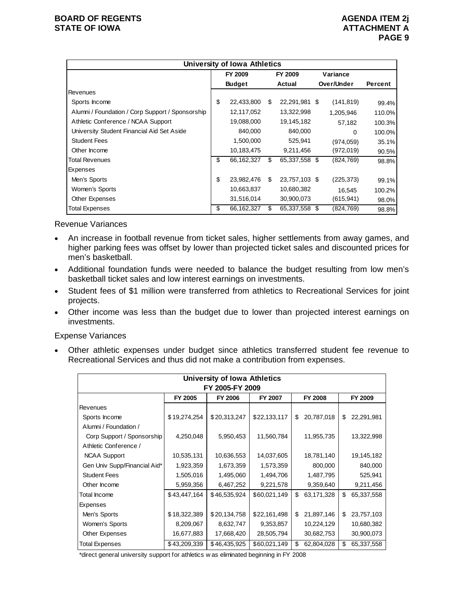|                                                  |                          | <b>University of Iowa Athletics</b> |    |               |            |         |
|--------------------------------------------------|--------------------------|-------------------------------------|----|---------------|------------|---------|
|                                                  | FY 2009<br><b>Budget</b> |                                     |    | FY 2009       | Variance   |         |
|                                                  |                          |                                     |    | Actual        | Over/Under | Percent |
| <b>Revenues</b>                                  |                          |                                     |    |               |            |         |
| Sports Income                                    | \$                       | 22,433,800                          | \$ | 22,291,981 \$ | (141, 819) | 99.4%   |
| Alumni / Foundation / Corp Support / Sponsorship |                          | 12,117,052                          |    | 13,322,998    | 1,205,946  | 110.0%  |
| Athletic Conference / NCAA Support               |                          | 19,088,000                          |    | 19,145,182    | 57,182     | 100.3%  |
| University Student Financial Aid Set Aside       |                          | 840,000                             |    | 840,000       | 0          | 100.0%  |
| <b>Student Fees</b>                              |                          | 1,500,000                           |    | 525,941       | (974, 059) | 35.1%   |
| Other Income                                     |                          | 10,183,475                          |    | 9,211,456     | (972,019)  | 90.5%   |
| Total Revenues                                   | \$                       | 66,162,327                          | \$ | 65,337,558 \$ | (824,769)  | 98.8%   |
| Expenses                                         |                          |                                     |    |               |            |         |
| Men's Sports                                     | \$                       | 23,982,476                          | \$ | 23,757,103 \$ | (225, 373) | 99.1%   |
| Women's Sports                                   |                          | 10,663,837                          |    | 10,680,382    | 16.545     | 100.2%  |
| Other Expenses                                   |                          | 31,516,014                          |    | 30,900,073    | (615, 941) | 98.0%   |
| <b>Total Expenses</b>                            | \$                       | 66,162,327                          | S  | 65,337,558 \$ | (824, 769) | 98.8%   |

Revenue Variances

- An increase in football revenue from ticket sales, higher settlements from away games, and higher parking fees was offset by lower than projected ticket sales and discounted prices for men's basketball.
- Additional foundation funds were needed to balance the budget resulting from low men's basketball ticket sales and low interest earnings on investments.
- Student fees of \$1 million were transferred from athletics to Recreational Services for joint projects.
- Other income was less than the budget due to lower than projected interest earnings on investments.

Expense Variances

 Other athletic expenses under budget since athletics transferred student fee revenue to Recreational Services and thus did not make a contribution from expenses.

|                              |              | University of Iowa Athletics |              |    |                |    |            |  |  |  |  |
|------------------------------|--------------|------------------------------|--------------|----|----------------|----|------------|--|--|--|--|
| FY 2005-FY 2009              |              |                              |              |    |                |    |            |  |  |  |  |
|                              | FY 2005      | <b>FY 2006</b>               | FY 2007      |    | <b>FY 2008</b> |    | FY 2009    |  |  |  |  |
| Revenues                     |              |                              |              |    |                |    |            |  |  |  |  |
| Sports Income                | \$19,274,254 | \$20,313,247                 | \$22,133,117 | \$ | 20,787,018     | \$ | 22,291,981 |  |  |  |  |
| Alumni / Foundation /        |              |                              |              |    |                |    |            |  |  |  |  |
| Corp Support / Sponsorship   | 4,250,048    | 5,950,453                    | 11,560,784   |    | 11,955,735     |    | 13,322,998 |  |  |  |  |
| Athletic Conference /        |              |                              |              |    |                |    |            |  |  |  |  |
| <b>NCAA Support</b>          | 10,535,131   | 10,636,553                   | 14,037,605   |    | 18,781,140     |    | 19,145,182 |  |  |  |  |
| Gen Univ Supp/Financial Aid* | 1,923,359    | 1,673,359                    | 1,573,359    |    | 800,000        |    | 840,000    |  |  |  |  |
| <b>Student Fees</b>          | 1,505,016    | 1,495,060                    | 1,494,706    |    | 1,487,795      |    | 525,941    |  |  |  |  |
| Other Income                 | 5,959,356    | 6,467,252                    | 9,221,578    |    | 9,359,640      |    | 9,211,456  |  |  |  |  |
| Total Income                 | \$43,447,164 | \$46,535,924                 | \$60,021,149 | \$ | 63,171,328     | \$ | 65,337,558 |  |  |  |  |
| Expenses                     |              |                              |              |    |                |    |            |  |  |  |  |
| Men's Sports                 | \$18,322,389 | \$20,134,758                 | \$22,161,498 | \$ | 21,897,146     | \$ | 23,757,103 |  |  |  |  |
| Women's Sports               | 8,209,067    | 8,632,747                    | 9,353,857    |    | 10,224,129     |    | 10,680,382 |  |  |  |  |
| Other Expenses               | 16,677,883   | 17,668,420                   | 28,505,794   |    | 30,682,753     |    | 30,900,073 |  |  |  |  |
| Total Expenses               | \$43,209,339 | \$46,435,925                 | \$60,021,149 | \$ | 62,804,028     | \$ | 65,337,558 |  |  |  |  |

\*direct general university support for athletics w as eliminated beginning in FY 2008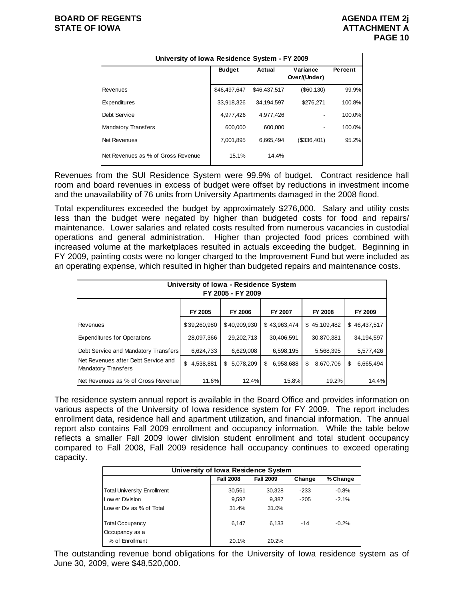| University of Iowa Residence System - FY 2009 |               |                                    |               |        |  |  |  |  |  |  |
|-----------------------------------------------|---------------|------------------------------------|---------------|--------|--|--|--|--|--|--|
|                                               | <b>Budget</b> | Variance<br>Actual<br>Over/(Under) |               |        |  |  |  |  |  |  |
| Revenues                                      | \$46.497.647  | \$46.437.517                       | $($ \$60,130) | 99.9%  |  |  |  |  |  |  |
| Expenditures                                  | 33,918,326    | 34.194.597                         | \$276.271     | 100.8% |  |  |  |  |  |  |
| Debt Service                                  | 4,977,426     | 4,977,426                          |               | 100.0% |  |  |  |  |  |  |
| <b>Mandatory Transfers</b>                    | 600.000       | 600.000                            |               | 100.0% |  |  |  |  |  |  |
| Net Revenues                                  | 7.001.895     | 6.665.494                          | (\$336,401)   | 95.2%  |  |  |  |  |  |  |
| Net Revenues as % of Gross Revenue            | 15.1%         | 14.4%                              |               |        |  |  |  |  |  |  |

Revenues from the SUI Residence System were 99.9% of budget. Contract residence hall room and board revenues in excess of budget were offset by reductions in investment income and the unavailability of 76 units from University Apartments damaged in the 2008 flood.

Total expenditures exceeded the budget by approximately \$276,000. Salary and utility costs less than the budget were negated by higher than budgeted costs for food and repairs/ maintenance. Lower salaries and related costs resulted from numerous vacancies in custodial operations and general administration. Higher than projected food prices combined with increased volume at the marketplaces resulted in actuals exceeding the budget. Beginning in FY 2009, painting costs were no longer charged to the Improvement Fund but were included as an operating expense, which resulted in higher than budgeted repairs and maintenance costs.

| University of Iowa - Residence System<br>FY 2005 - FY 2009        |                 |              |                 |                 |                 |  |  |  |  |  |
|-------------------------------------------------------------------|-----------------|--------------|-----------------|-----------------|-----------------|--|--|--|--|--|
| FY 2005<br>FY 2006<br>FY 2007<br>FY 2008<br>FY 2009               |                 |              |                 |                 |                 |  |  |  |  |  |
| Revenues                                                          | \$39,260,980    | \$40.909.930 | \$43,963,474    | \$45,109,482    | \$46.437.517    |  |  |  |  |  |
| <b>Expenditures for Operations</b>                                | 28,097,366      | 29,202,713   | 30,406,591      | 30,870,381      | 34,194,597      |  |  |  |  |  |
| Debt Service and Mandatory Transfers                              | 6,624,733       | 6,629,008    | 6,598,195       | 5,568,395       | 5,577,426       |  |  |  |  |  |
| Net Revenues after Debt Service and<br><b>Mandatory Transfers</b> | \$<br>4,538,881 | \$5,078,209  | 6,958,688<br>\$ | \$<br>8,670,706 | 6,665,494<br>\$ |  |  |  |  |  |
| Net Revenues as % of Gross Revenue                                | 11.6%           | 12.4%        | 15.8%           | 19.2%           | 14.4%           |  |  |  |  |  |

The residence system annual report is available in the Board Office and provides information on various aspects of the University of Iowa residence system for FY 2009. The report includes enrollment data, residence hall and apartment utilization, and financial information. The annual report also contains Fall 2009 enrollment and occupancy information. While the table below reflects a smaller Fall 2009 lower division student enrollment and total student occupancy compared to Fall 2008, Fall 2009 residence hall occupancy continues to exceed operating capacity.

| University of Iowa Residence System |                                                            |        |        |         |  |  |  |  |  |  |  |
|-------------------------------------|------------------------------------------------------------|--------|--------|---------|--|--|--|--|--|--|--|
|                                     | <b>Fall 2008</b><br><b>Fall 2009</b><br>% Change<br>Change |        |        |         |  |  |  |  |  |  |  |
| <b>Total University Enrollment</b>  | 30,561                                                     | 30,328 | $-233$ | $-0.8%$ |  |  |  |  |  |  |  |
| Low er Division                     | 9.592                                                      | 9.387  | $-205$ | $-2.1%$ |  |  |  |  |  |  |  |
| Low er Div as % of Total            | 31.4%                                                      | 31.0%  |        |         |  |  |  |  |  |  |  |
| <b>Total Occupancy</b>              | 6.147                                                      | 6.133  | $-14$  | $-0.2%$ |  |  |  |  |  |  |  |
| Occupancy as a                      |                                                            |        |        |         |  |  |  |  |  |  |  |
| % of Enrollment                     | 20.1%                                                      | 20.2%  |        |         |  |  |  |  |  |  |  |

The outstanding revenue bond obligations for the University of Iowa residence system as of June 30, 2009, were \$48,520,000.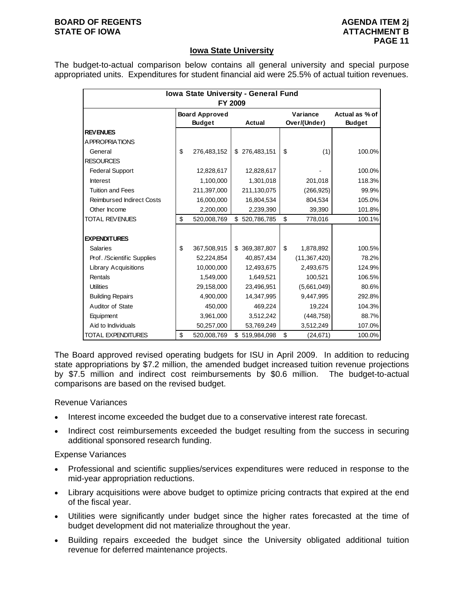#### **BOARD OF REGENTS AGENUS AGENDA ITEM 2j STATE OF IOWA** AND **ATTACHMENT B**

### **Iowa State University**

The budget-to-actual comparison below contains all general university and special purpose appropriated units. Expenditures for student financial aid were 25.5% of actual tuition revenues.

|                                  | Iowa State University - General Fund |                       |    |               |    |                |                |  |  |  |
|----------------------------------|--------------------------------------|-----------------------|----|---------------|----|----------------|----------------|--|--|--|
|                                  | FY 2009                              |                       |    |               |    |                |                |  |  |  |
|                                  |                                      | <b>Board Approved</b> |    |               |    | Variance       | Actual as % of |  |  |  |
|                                  |                                      | <b>Budget</b>         |    | <b>Actual</b> |    | Over/(Under)   | <b>Budget</b>  |  |  |  |
| <b>REV ENUES</b>                 |                                      |                       |    |               |    |                |                |  |  |  |
| A PPROPRIATIONS                  |                                      |                       |    |               |    |                |                |  |  |  |
| General                          | \$                                   | 276,483,152           |    | \$276,483,151 | \$ | (1)            | 100.0%         |  |  |  |
| <b>RESOURCES</b>                 |                                      |                       |    |               |    |                |                |  |  |  |
| <b>Federal Support</b>           |                                      | 12,828,617            |    | 12,828,617    |    |                | 100.0%         |  |  |  |
| <b>Interest</b>                  |                                      | 1,100,000             |    | 1,301,018     |    | 201,018        | 118.3%         |  |  |  |
| <b>Tuition and Fees</b>          |                                      | 211,397,000           |    | 211,130,075   |    | (266, 925)     | 99.9%          |  |  |  |
| <b>Reimbursed Indirect Costs</b> |                                      | 16,000,000            |    | 16,804,534    |    | 804,534        | 105.0%         |  |  |  |
| Other Income                     |                                      | 2,200,000             |    | 2,239,390     |    | 39,390         | 101.8%         |  |  |  |
| <b>TOTAL REVENUES</b>            | \$                                   | 520,008,769           | \$ | 520,786,785   | \$ | 778,016        | 100.1%         |  |  |  |
|                                  |                                      |                       |    |               |    |                |                |  |  |  |
| <b>EXPENDITURES</b>              |                                      |                       |    |               |    |                |                |  |  |  |
| Salaries                         | \$                                   | 367,508,915           |    | \$369,387,807 | \$ | 1,878,892      | 100.5%         |  |  |  |
| Prof. /Scientific Supplies       |                                      | 52,224,854            |    | 40,857,434    |    | (11, 367, 420) | 78.2%          |  |  |  |
| <b>Library Acquisitions</b>      |                                      | 10,000,000            |    | 12,493,675    |    | 2,493,675      | 124.9%         |  |  |  |
| Rentals                          |                                      | 1,549,000             |    | 1,649,521     |    | 100,521        | 106.5%         |  |  |  |
| <b>Utilities</b>                 |                                      | 29,158,000            |    | 23,496,951    |    | (5,661,049)    | 80.6%          |  |  |  |
| <b>Building Repairs</b>          |                                      | 4,900,000             |    | 14,347,995    |    | 9,447,995      | 292.8%         |  |  |  |
| Auditor of State                 |                                      | 450,000               |    | 469,224       |    | 19,224         | 104.3%         |  |  |  |
| Equipment                        |                                      | 3,961,000             |    | 3,512,242     |    | (448, 758)     | 88.7%          |  |  |  |
| Aid to Individuals               |                                      | 50,257,000            |    | 53,769,249    |    | 3,512,249      | 107.0%         |  |  |  |
| <b>TOTAL EXPENDITURES</b>        | \$                                   | 520,008,769           | \$ | 519,984,098   | \$ | (24, 671)      | 100.0%         |  |  |  |

The Board approved revised operating budgets for ISU in April 2009. In addition to reducing state appropriations by \$7.2 million, the amended budget increased tuition revenue projections by \$7.5 million and indirect cost reimbursements by \$0.6 million. The budget-to-actual comparisons are based on the revised budget.

#### Revenue Variances

- Interest income exceeded the budget due to a conservative interest rate forecast.
- Indirect cost reimbursements exceeded the budget resulting from the success in securing additional sponsored research funding.

- Professional and scientific supplies/services expenditures were reduced in response to the mid-year appropriation reductions.
- Library acquisitions were above budget to optimize pricing contracts that expired at the end of the fiscal year.
- Utilities were significantly under budget since the higher rates forecasted at the time of budget development did not materialize throughout the year.
- Building repairs exceeded the budget since the University obligated additional tuition revenue for deferred maintenance projects.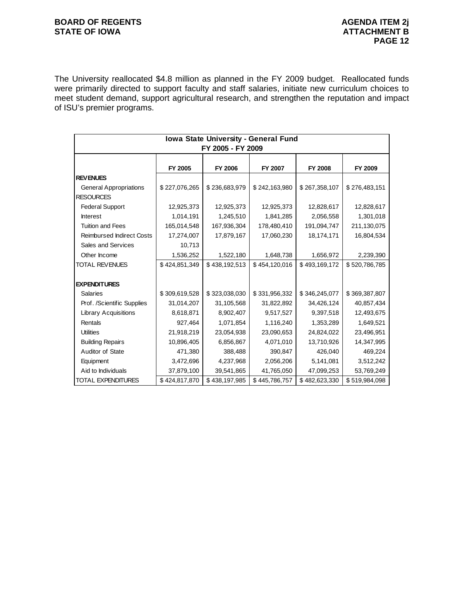# **BOARD OF REGENTS AGENDA ITEM 2j** STATE OF IOWA **ATTACHMENT B**

The University reallocated \$4.8 million as planned in the FY 2009 budget. Reallocated funds were primarily directed to support faculty and staff salaries, initiate new curriculum choices to meet student demand, support agricultural research, and strengthen the reputation and impact of ISU's premier programs.

|                                  | Iowa State University - General Fund |                   |               |               |               |  |  |  |  |
|----------------------------------|--------------------------------------|-------------------|---------------|---------------|---------------|--|--|--|--|
|                                  |                                      | FY 2005 - FY 2009 |               |               |               |  |  |  |  |
|                                  |                                      |                   |               |               |               |  |  |  |  |
|                                  | FY 2005                              | FY 2006           | FY 2007       | FY 2008       | FY 2009       |  |  |  |  |
| <b>REVENUES</b>                  |                                      |                   |               |               |               |  |  |  |  |
| <b>General Appropriations</b>    | \$227,076,265                        | \$236,683,979     | \$242,163,980 | \$267,358,107 | \$276,483,151 |  |  |  |  |
| <b>RESOURCES</b>                 |                                      |                   |               |               |               |  |  |  |  |
| <b>Federal Support</b>           | 12,925,373                           | 12,925,373        | 12,925,373    | 12,828,617    | 12,828,617    |  |  |  |  |
| <b>Interest</b>                  | 1,014,191                            | 1,245,510         | 1,841,285     | 2,056,558     | 1,301,018     |  |  |  |  |
| <b>Tuition and Fees</b>          | 165,014,548                          | 167,936,304       | 178,480,410   | 191,094,747   | 211,130,075   |  |  |  |  |
| <b>Reimbursed Indirect Costs</b> | 17,274,007                           | 17,879,167        | 17,060,230    | 18,174,171    | 16,804,534    |  |  |  |  |
| Sales and Services               | 10,713                               |                   |               |               |               |  |  |  |  |
| Other Income                     | 1,536,252                            | 1,522,180         | 1,648,738     | 1,656,972     | 2,239,390     |  |  |  |  |
| <b>TOTAL REVENUES</b>            | \$424,851,349                        | \$438,192,513     | \$454,120,016 | \$493,169,172 | \$520,786,785 |  |  |  |  |
|                                  |                                      |                   |               |               |               |  |  |  |  |
| <b>EXPENDITURES</b>              |                                      |                   |               |               |               |  |  |  |  |
| <b>Salaries</b>                  | \$309,619,528                        | \$323,038,030     | \$331,956,332 | \$346,245,077 | \$369,387,807 |  |  |  |  |
| Prof. /Scientific Supplies       | 31,014,207                           | 31,105,568        | 31,822,892    | 34,426,124    | 40,857,434    |  |  |  |  |
| <b>Library Acquisitions</b>      | 8,618,871                            | 8,902,407         | 9,517,527     | 9,397,518     | 12,493,675    |  |  |  |  |
| Rentals                          | 927,464                              | 1,071,854         | 1,116,240     | 1,353,289     | 1,649,521     |  |  |  |  |
| <b>Utilities</b>                 | 21,918,219                           | 23,054,938        | 23,090,653    | 24,824,022    | 23,496,951    |  |  |  |  |
| <b>Building Repairs</b>          | 10,896,405                           | 6,856,867         | 4,071,010     | 13,710,926    | 14,347,995    |  |  |  |  |
| Auditor of State                 | 471,380                              | 388,488           | 390,847       | 426,040       | 469,224       |  |  |  |  |
| Equipment                        | 3,472,696                            | 4,237,968         | 2,056,206     | 5,141,081     | 3,512,242     |  |  |  |  |
| Aid to Individuals               | 37,879,100                           | 39,541,865        | 41,765,050    | 47,099,253    | 53,769,249    |  |  |  |  |
| <b>TOTAL EXPENDITURES</b>        | \$424,817,870                        | \$438,197,985     | \$445,786,757 | \$482,623,330 | \$519,984,098 |  |  |  |  |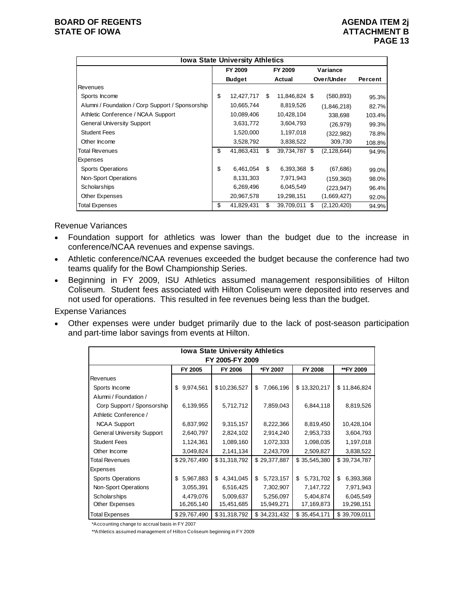| <b>Iowa State University Athletics</b>           |    |               |     |               |  |               |         |  |  |
|--------------------------------------------------|----|---------------|-----|---------------|--|---------------|---------|--|--|
|                                                  |    | FY 2009       |     | FY 2009       |  | Variance      |         |  |  |
|                                                  |    | <b>Budget</b> |     | Actual        |  | Over/Under    | Percent |  |  |
| Revenues                                         |    |               |     |               |  |               |         |  |  |
| Sports Income                                    | \$ | 12,427,717    | \$. | 11,846,824 \$ |  | (580, 893)    | 95.3%   |  |  |
| Alumni / Foundation / Corp Support / Sponsorship |    | 10,665,744    |     | 8,819,526     |  | (1,846,218)   | 82.7%   |  |  |
| Athletic Conference / NCAA Support               |    | 10,089,406    |     | 10,428,104    |  | 338,698       | 103.4%  |  |  |
| <b>General University Support</b>                |    | 3,631,772     |     | 3,604,793     |  | (26, 979)     | 99.3%   |  |  |
| <b>Student Fees</b>                              |    | 1,520,000     |     | 1,197,018     |  | (322, 982)    | 78.8%   |  |  |
| Other Income                                     |    | 3,528,792     |     | 3,838,522     |  | 309,730       | 108.8%  |  |  |
| Total Revenues                                   | \$ | 41,863,431    | \$  | 39,734,787 \$ |  | (2, 128, 644) | 94.9%   |  |  |
| Expenses                                         |    |               |     |               |  |               |         |  |  |
| <b>Sports Operations</b>                         | \$ | 6,461,054     | \$  | 6,393,368 \$  |  | (67, 686)     | 99.0%   |  |  |
| Non-Sport Operations                             |    | 8,131,303     |     | 7,971,943     |  | (159, 360)    | 98.0%   |  |  |
| Scholarships                                     |    | 6,269,496     |     | 6,045,549     |  | (223, 947)    | 96.4%   |  |  |
| Other Expenses                                   |    | 20,967,578    |     | 19,298,151    |  | (1,669,427)   | 92.0%   |  |  |
| <b>Total Expenses</b>                            | \$ | 41,829,431    | \$  | 39,709,011 \$ |  | (2, 120, 420) | 94.9%   |  |  |

Revenue Variances

- Foundation support for athletics was lower than the budget due to the increase in conference/NCAA revenues and expense savings.
- Athletic conference/NCAA revenues exceeded the budget because the conference had two teams qualify for the Bowl Championship Series.
- Beginning in FY 2009, ISU Athletics assumed management responsibilities of Hilton Coliseum. Student fees associated with Hilton Coliseum were deposited into reserves and not used for operations. This resulted in fee revenues being less than the budget.

Expense Variances

 Other expenses were under budget primarily due to the lack of post-season participation and part-time labor savings from events at Hilton.

| <b>Iowa State University Athletics</b><br>FY 2005-FY 2009 |                 |                 |                 |                 |                 |  |  |  |  |  |
|-----------------------------------------------------------|-----------------|-----------------|-----------------|-----------------|-----------------|--|--|--|--|--|
| FY 2005<br>FY 2006<br>*FY 2007<br>FY 2008<br>**FY 2009    |                 |                 |                 |                 |                 |  |  |  |  |  |
| Revenues                                                  |                 |                 |                 |                 |                 |  |  |  |  |  |
| Sports Income                                             | 9,974,561<br>\$ | \$10,236,527    | 7,066,196<br>\$ | \$13,320,217    | \$11,846,824    |  |  |  |  |  |
| Alumni / Foundation /                                     |                 |                 |                 |                 |                 |  |  |  |  |  |
| Corp Support / Sponsorship                                | 6,139,955       | 5,712,712       | 7,859,043       | 6,844,118       | 8,819,526       |  |  |  |  |  |
| Athletic Conference /                                     |                 |                 |                 |                 |                 |  |  |  |  |  |
| <b>NCAA Support</b>                                       | 6,837,992       | 9,315,157       | 8,222,366       | 8,819,450       | 10,428,104      |  |  |  |  |  |
| <b>General University Support</b>                         | 2,640,797       | 2,824,102       | 2,914,240       | 2,953,733       | 3,604,793       |  |  |  |  |  |
| <b>Student Fees</b>                                       | 1,124,361       | 1,089,160       | 1,072,333       | 1,098,035       | 1,197,018       |  |  |  |  |  |
| Other Income                                              | 3,049,824       | 2,141,134       | 2,243,709       | 2,509,827       | 3,838,522       |  |  |  |  |  |
| <b>Total Revenues</b>                                     | \$29,767,490    | \$31,318,792    | \$29,377,887    | \$35,545,380    | \$39,734,787    |  |  |  |  |  |
| Expenses                                                  |                 |                 |                 |                 |                 |  |  |  |  |  |
| <b>Sports Operations</b>                                  | 5,967,883<br>\$ | 4,341,045<br>\$ | 5,723,157<br>\$ | 5,731,702<br>\$ | \$<br>6,393,368 |  |  |  |  |  |
| Non-Sport Operations                                      | 3,055,391       | 6,516,425       | 7,302,907       | 7,147,722       | 7,971,943       |  |  |  |  |  |
| Scholarships                                              | 4,479,076       | 5,009,637       | 5,256,097       | 5,404,874       | 6,045,549       |  |  |  |  |  |
| Other Expenses                                            | 16,265,140      | 15,451,685      | 15,949,271      | 17,169,873      | 19,298,151      |  |  |  |  |  |
| <b>Total Expenses</b>                                     | \$29,767,490    | \$31,318,792    | \$34,231,432    | \$35,454,171    | \$39,709,011    |  |  |  |  |  |

\*Accounting change to accrual basis in FY 2007

\*\*Athletics assumed management of Hilton Coliseum beginning in FY 2009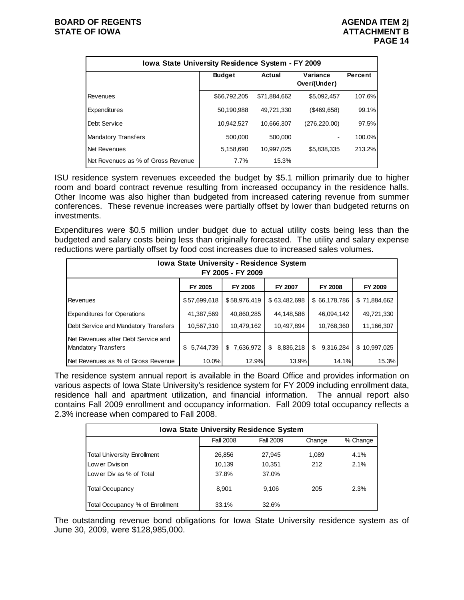| Iowa State University Residence System - FY 2009 |                                                                |              |                |        |  |  |  |  |  |
|--------------------------------------------------|----------------------------------------------------------------|--------------|----------------|--------|--|--|--|--|--|
|                                                  | Variance<br><b>Budget</b><br>Actual<br>Percent<br>Over/(Under) |              |                |        |  |  |  |  |  |
| Revenues                                         | \$66,792,205                                                   | \$71.884.662 | \$5,092,457    | 107.6% |  |  |  |  |  |
| Expenditures                                     | 50.190.988                                                     | 49.721.330   | $($ \$469,658) | 99.1%  |  |  |  |  |  |
| Debt Service                                     | 10,942,527                                                     | 10.666.307   | (276, 220.00)  | 97.5%  |  |  |  |  |  |
| <b>Mandatory Transfers</b>                       | 500.000                                                        | 500.000      |                | 100.0% |  |  |  |  |  |
| Net Revenues                                     | 5,158,690                                                      | 10,997,025   | \$5,838,335    | 213.2% |  |  |  |  |  |
| Net Revenues as % of Gross Revenue               | 7.7%                                                           | 15.3%        |                |        |  |  |  |  |  |

ISU residence system revenues exceeded the budget by \$5.1 million primarily due to higher room and board contract revenue resulting from increased occupancy in the residence halls. Other Income was also higher than budgeted from increased catering revenue from summer conferences. These revenue increases were partially offset by lower than budgeted returns on investments.

Expenditures were \$0.5 million under budget due to actual utility costs being less than the budgeted and salary costs being less than originally forecasted. The utility and salary expense reductions were partially offset by food cost increases due to increased sales volumes.

| <b>Iowa State University - Residence System</b><br>FY 2005 - FY 2009 |                  |                 |                 |                 |                |  |  |  |
|----------------------------------------------------------------------|------------------|-----------------|-----------------|-----------------|----------------|--|--|--|
|                                                                      | FY 2005          | <b>FY 2006</b>  | <b>FY 2007</b>  | <b>FY 2008</b>  | <b>FY 2009</b> |  |  |  |
| <b>Revenues</b>                                                      | \$57,699,618     | \$58,976,419    | \$63,482,698    | \$66,178,786    | \$71,884,662   |  |  |  |
| <b>Expenditures for Operations</b>                                   | 41,387,569       | 40,860,285      | 44,148,586      | 46,094,142      | 49,721,330     |  |  |  |
| Debt Service and Mandatory Transfers                                 | 10,567,310       | 10,479,162      | 10,497,894      | 10,768,360      | 11,166,307     |  |  |  |
| Net Revenues after Debt Service and<br>Mandatory Transfers           | 5,744,739<br>\$. | 7,636,972<br>\$ | 8,836,218<br>\$ | 9,316,284<br>\$ | \$10,997,025   |  |  |  |
| Net Revenues as % of Gross Revenue                                   | 10.0%            | 12.9%           | 13.9%           | 14.1%           | 15.3%          |  |  |  |

The residence system annual report is available in the Board Office and provides information on various aspects of Iowa State University's residence system for FY 2009 including enrollment data, residence hall and apartment utilization, and financial information. The annual report also contains Fall 2009 enrollment and occupancy information. Fall 2009 total occupancy reflects a 2.3% increase when compared to Fall 2008.

| <b>Iowa State University Residence System</b> |                                                     |        |       |         |  |  |  |  |  |  |
|-----------------------------------------------|-----------------------------------------------------|--------|-------|---------|--|--|--|--|--|--|
|                                               | <b>Fall 2008</b><br>Fall 2009<br>Change<br>% Change |        |       |         |  |  |  |  |  |  |
| <b>Total University Enrollment</b>            | 26,856                                              | 27.945 | 1,089 | $4.1\%$ |  |  |  |  |  |  |
| Low er Division                               | 10,139                                              | 10.351 | 212   | 2.1%    |  |  |  |  |  |  |
| Low er Div as % of Total                      | 37.8%                                               | 37.0%  |       |         |  |  |  |  |  |  |
| <b>Total Occupancy</b>                        | 8.901                                               | 9.106  | 205   | 2.3%    |  |  |  |  |  |  |
| Total Occupancy % of Enrollment               | 33.1%                                               | 32.6%  |       |         |  |  |  |  |  |  |

The outstanding revenue bond obligations for Iowa State University residence system as of June 30, 2009, were \$128,985,000.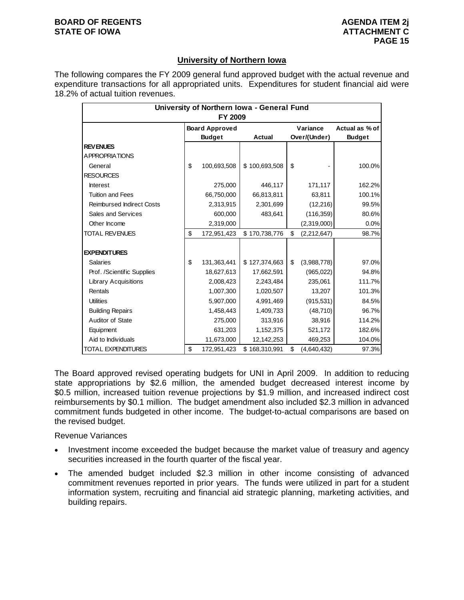#### **BOARD OF REGENTS AGENUS AGENDA ITEM 2j STATE OF IOWA ATTACHMENT C**

# **University of Northern Iowa**

The following compares the FY 2009 general fund approved budget with the actual revenue and expenditure transactions for all appropriated units. Expenditures for student financial aid were 18.2% of actual tuition revenues.

| University of Northern Iowa - General Fund<br>FY 2009 |    |                                        |               |    |                          |                                 |  |  |  |
|-------------------------------------------------------|----|----------------------------------------|---------------|----|--------------------------|---------------------------------|--|--|--|
|                                                       |    | <b>Board Approved</b><br><b>Budget</b> | Actual        |    | Variance<br>Over/(Under) | Actual as % of<br><b>Budget</b> |  |  |  |
| <b>REVENUES</b>                                       |    |                                        |               |    |                          |                                 |  |  |  |
| <b>APPROPRIATIONS</b>                                 |    |                                        |               |    |                          |                                 |  |  |  |
| General                                               | \$ | 100,693,508                            | \$100,693,508 | \$ |                          | 100.0%                          |  |  |  |
| <b>RESOURCES</b>                                      |    |                                        |               |    |                          |                                 |  |  |  |
| <b>Interest</b>                                       |    | 275,000                                | 446,117       |    | 171,117                  | 162.2%                          |  |  |  |
| <b>Tuition and Fees</b>                               |    | 66,750,000                             | 66,813,811    |    | 63,811                   | 100.1%                          |  |  |  |
| <b>Reimbursed Indirect Costs</b>                      |    | 2,313,915                              | 2,301,699     |    | (12,216)                 | 99.5%                           |  |  |  |
| Sales and Services                                    |    | 600,000                                | 483,641       |    | (116, 359)               | 80.6%                           |  |  |  |
| Other Income                                          |    | 2,319,000                              |               |    | (2,319,000)              | 0.0%                            |  |  |  |
| <b>TOTAL REVENUES</b>                                 | \$ | 172,951,423                            | \$170,738,776 | \$ | (2,212,647)              | 98.7%                           |  |  |  |
|                                                       |    |                                        |               |    |                          |                                 |  |  |  |
| <b>EXPENDITURES</b>                                   |    |                                        |               |    |                          |                                 |  |  |  |
| <b>Salaries</b>                                       | \$ | 131,363,441                            | \$127,374,663 | \$ | (3,988,778)              | 97.0%                           |  |  |  |
| Prof. /Scientific Supplies                            |    | 18,627,613                             | 17,662,591    |    | (965,022)                | 94.8%                           |  |  |  |
| <b>Library Acquisitions</b>                           |    | 2,008,423                              | 2,243,484     |    | 235,061                  | 111.7%                          |  |  |  |
| Rentals                                               |    | 1,007,300                              | 1,020,507     |    | 13,207                   | 101.3%                          |  |  |  |
| <b>Utilities</b>                                      |    | 5,907,000                              | 4,991,469     |    | (915, 531)               | 84.5%                           |  |  |  |
| <b>Building Repairs</b>                               |    | 1,458,443                              | 1,409,733     |    | (48, 710)                | 96.7%                           |  |  |  |
| Auditor of State                                      |    | 275,000                                | 313,916       |    | 38,916                   | 114.2%                          |  |  |  |
| Equipment                                             |    | 631,203                                | 1,152,375     |    | 521,172                  | 182.6%                          |  |  |  |
| Aid to Individuals                                    |    | 11,673,000                             | 12,142,253    |    | 469,253                  | 104.0%                          |  |  |  |
| <b>TOTAL EXPENDITURES</b>                             | \$ | 172,951,423                            | \$168,310,991 | \$ | (4,640,432)              | 97.3%                           |  |  |  |

The Board approved revised operating budgets for UNI in April 2009. In addition to reducing state appropriations by \$2.6 million, the amended budget decreased interest income by \$0.5 million, increased tuition revenue projections by \$1.9 million, and increased indirect cost reimbursements by \$0.1 million. The budget amendment also included \$2.3 million in advanced commitment funds budgeted in other income. The budget-to-actual comparisons are based on the revised budget.

Revenue Variances

- Investment income exceeded the budget because the market value of treasury and agency securities increased in the fourth quarter of the fiscal year.
- The amended budget included \$2.3 million in other income consisting of advanced commitment revenues reported in prior years. The funds were utilized in part for a student information system, recruiting and financial aid strategic planning, marketing activities, and building repairs.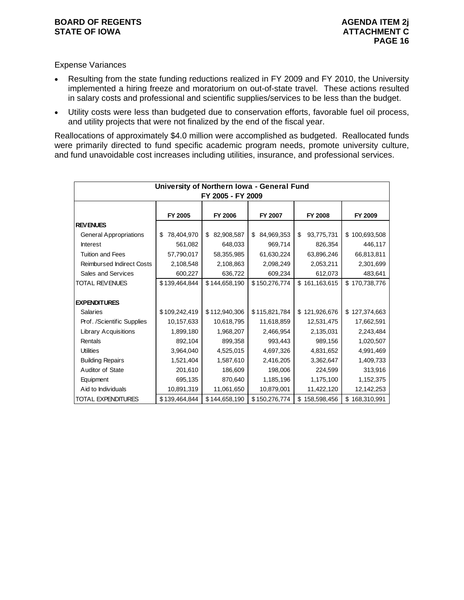### **BOARD OF REGENTS AGENDA ITEM 2j STATE OF IOWA ATTACHMENT C**

## Expense Variances

- Resulting from the state funding reductions realized in FY 2009 and FY 2010, the University implemented a hiring freeze and moratorium on out-of-state travel. These actions resulted in salary costs and professional and scientific supplies/services to be less than the budget.
- Utility costs were less than budgeted due to conservation efforts, favorable fuel oil process, and utility projects that were not finalized by the end of the fiscal year.

Reallocations of approximately \$4.0 million were accomplished as budgeted. Reallocated funds were primarily directed to fund specific academic program needs, promote university culture, and fund unavoidable cost increases including utilities, insurance, and professional services.

|                                                     |                  | FY 2005 - FY 2009 | University of Northern Iowa - General Fund |                   |                   |  |  |  |  |  |
|-----------------------------------------------------|------------------|-------------------|--------------------------------------------|-------------------|-------------------|--|--|--|--|--|
|                                                     |                  |                   |                                            |                   |                   |  |  |  |  |  |
| FY 2005<br>FY 2006<br>FY 2007<br>FY 2008<br>FY 2009 |                  |                   |                                            |                   |                   |  |  |  |  |  |
| <b>REV ENUES</b>                                    |                  |                   |                                            |                   |                   |  |  |  |  |  |
| <b>General Appropriations</b>                       | 78,404,970<br>\$ | 82,908,587<br>\$  | 84,969,353<br>\$                           | \$<br>93,775,731  | \$100,693,508     |  |  |  |  |  |
| <b>Interest</b>                                     | 561,082          | 648,033           | 969,714                                    | 826,354           | 446,117           |  |  |  |  |  |
| <b>Tuition and Fees</b>                             | 57,790,017       | 58,355,985        | 61,630,224                                 | 63,896,246        | 66,813,811        |  |  |  |  |  |
| <b>Reimbursed Indirect Costs</b>                    | 2,108,548        | 2,108,863         | 2,098,249                                  | 2,053,211         | 2,301,699         |  |  |  |  |  |
| Sales and Services                                  | 600,227          | 636,722           | 609,234                                    | 612,073           | 483,641           |  |  |  |  |  |
| TOTAL REVENUES                                      | \$139,464,844    | \$144,658,190     | \$150,276,774                              | \$161,163,615     | \$170,738,776     |  |  |  |  |  |
|                                                     |                  |                   |                                            |                   |                   |  |  |  |  |  |
| <b>EXPENDITURES</b>                                 |                  |                   |                                            |                   |                   |  |  |  |  |  |
| <b>Salaries</b>                                     | \$109,242,419    | \$112,940,306     | \$115,821,784                              | \$121,926,676     | \$127,374,663     |  |  |  |  |  |
| Prof. /Scientific Supplies                          | 10,157,633       | 10,618,795        | 11,618,859                                 | 12,531,475        | 17,662,591        |  |  |  |  |  |
| <b>Library Acquisitions</b>                         | 1,899,180        | 1,968,207         | 2,466,954                                  | 2,135,031         | 2,243,484         |  |  |  |  |  |
| Rentals                                             | 892,104          | 899,358           | 993,443                                    | 989,156           | 1,020,507         |  |  |  |  |  |
| <b>Utilities</b>                                    | 3,964,040        | 4,525,015         | 4,697,326                                  | 4,831,652         | 4,991,469         |  |  |  |  |  |
| <b>Building Repairs</b>                             | 1,521,404        | 1,587,610         | 2,416,205                                  | 3,362,647         | 1,409,733         |  |  |  |  |  |
| Auditor of State                                    | 201,610          | 186,609           | 198,006                                    | 224,599           | 313,916           |  |  |  |  |  |
| Equipment                                           | 695,135          | 870,640           | 1,185,196                                  | 1,175,100         | 1,152,375         |  |  |  |  |  |
| Aid to Individuals                                  | 10,891,319       | 11,061,650        | 10,879,001                                 | 11,422,120        | 12,142,253        |  |  |  |  |  |
| <b>TOTAL EXPENDITURES</b>                           | \$139,464,844    | \$144,658,190     | \$150,276,774                              | 158,598,456<br>\$ | \$<br>168,310,991 |  |  |  |  |  |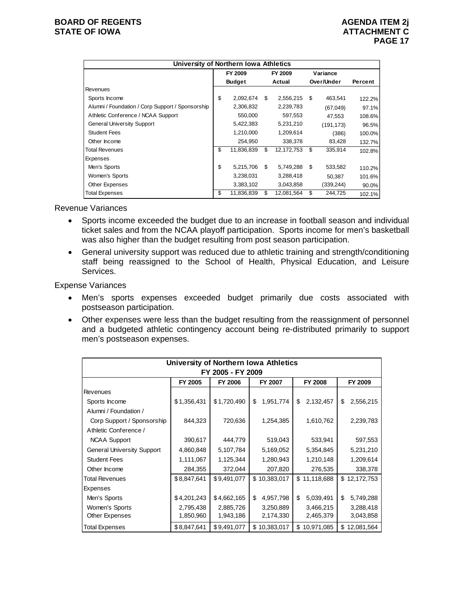|                                                  | University of Northern Iowa Athletics |               |        |            |            |            |         |  |  |  |
|--------------------------------------------------|---------------------------------------|---------------|--------|------------|------------|------------|---------|--|--|--|
|                                                  |                                       | FY 2009       |        | FY 2009    |            | Variance   |         |  |  |  |
|                                                  |                                       | <b>Budget</b> | Actual |            | Over/Under |            | Percent |  |  |  |
| Revenues                                         |                                       |               |        |            |            |            |         |  |  |  |
| Sports Income                                    | \$                                    | 2,092,674     | S      | 2,556,215  | \$         | 463,541    | 122.2%  |  |  |  |
| Alumni / Foundation / Corp Support / Sponsorship |                                       | 2,306,832     |        | 2,239,783  |            | (67,049)   | 97.1%   |  |  |  |
| Athletic Conference / NCAA Support               |                                       | 550,000       |        | 597,553    |            | 47,553     | 108.6%  |  |  |  |
| <b>General University Support</b>                |                                       | 5,422,383     |        | 5,231,210  |            | (191, 173) | 96.5%   |  |  |  |
| <b>Student Fees</b>                              |                                       | 1,210,000     |        | 1,209,614  |            | (386)      | 100.0%  |  |  |  |
| Other Income                                     |                                       | 254,950       |        | 338,378    |            | 83,428     | 132.7%  |  |  |  |
| <b>Total Revenues</b>                            | \$                                    | 11,836,839    | \$     | 12,172,753 | \$         | 335,914    | 102.8%  |  |  |  |
| <b>Expenses</b>                                  |                                       |               |        |            |            |            |         |  |  |  |
| Men's Sports                                     | \$                                    | 5,215,706     | \$     | 5,749,288  | \$         | 533,582    | 110.2%  |  |  |  |
| Women's Sports                                   |                                       | 3,238,031     |        | 3,288,418  |            | 50.387     | 101.6%  |  |  |  |
| Other Expenses                                   |                                       | 3,383,102     |        | 3,043,858  |            | (339,244)  | 90.0%   |  |  |  |
| <b>Total Expenses</b>                            | \$                                    | 11,836,839    | \$     | 12,081,564 | \$         | 244,725    | 102.1%  |  |  |  |

Revenue Variances

- Sports income exceeded the budget due to an increase in football season and individual ticket sales and from the NCAA playoff participation. Sports income for men's basketball was also higher than the budget resulting from post season participation.
- General university support was reduced due to athletic training and strength/conditioning staff being reassigned to the School of Health, Physical Education, and Leisure Services.

- Men's sports expenses exceeded budget primarily due costs associated with postseason participation.
- Other expenses were less than the budget resulting from the reassignment of personnel and a budgeted athletic contingency account being re-distributed primarily to support men's postseason expenses.

| <b>University of Northern Iowa Athletics</b> |                                                                   |             |                 |                 |                  |  |  |  |  |  |  |
|----------------------------------------------|-------------------------------------------------------------------|-------------|-----------------|-----------------|------------------|--|--|--|--|--|--|
| FY 2005 - FY 2009                            |                                                                   |             |                 |                 |                  |  |  |  |  |  |  |
|                                              | FY 2005<br><b>FY 2006</b><br>FY 2007<br><b>FY 2008</b><br>FY 2009 |             |                 |                 |                  |  |  |  |  |  |  |
| Revenues                                     |                                                                   |             |                 |                 |                  |  |  |  |  |  |  |
| Sports Income                                | \$1,356,431                                                       | \$1,720,490 | 1,951,774<br>\$ | 2,132,457<br>\$ | \$<br>2,556,215  |  |  |  |  |  |  |
| Alumni / Foundation /                        |                                                                   |             |                 |                 |                  |  |  |  |  |  |  |
| Corp Support / Sponsorship                   | 844,323                                                           | 720,636     | 1,254,385       | 1,610,762       | 2,239,783        |  |  |  |  |  |  |
| Athletic Conference /                        |                                                                   |             |                 |                 |                  |  |  |  |  |  |  |
| <b>NCAA Support</b>                          | 390,617                                                           | 444,779     | 519,043         | 533,941         | 597,553          |  |  |  |  |  |  |
| <b>General University Support</b>            | 4,860,848                                                         | 5,107,784   | 5,169,052       | 5,354,845       | 5,231,210        |  |  |  |  |  |  |
| <b>Student Fees</b>                          | 1,111,067                                                         | 1,125,344   | 1,280,943       | 1,210,148       | 1,209,614        |  |  |  |  |  |  |
| Other Income                                 | 284,355                                                           | 372,044     | 207,820         | 276,535         | 338,378          |  |  |  |  |  |  |
| Total Revenues                               | \$8,847,641                                                       | \$9,491,077 | \$10,383,017    | \$11,118,688    | \$12,172,753     |  |  |  |  |  |  |
| Expenses                                     |                                                                   |             |                 |                 |                  |  |  |  |  |  |  |
| Men's Sports                                 | \$4,201,243                                                       | \$4,662,165 | \$<br>4,957,798 | \$<br>5,039,491 | \$<br>5,749,288  |  |  |  |  |  |  |
| Women's Sports                               | 2,795,438                                                         | 2,885,726   | 3,250,889       | 3,466,215       | 3,288,418        |  |  |  |  |  |  |
| Other Expenses                               | 1,850,960                                                         | 1,943,186   | 2,174,330       | 2,465,379       | 3,043,858        |  |  |  |  |  |  |
| <b>Total Expenses</b>                        | \$8,847,641                                                       | \$9,491,077 | \$10,383,017    | \$10,971,085    | 12,081,564<br>\$ |  |  |  |  |  |  |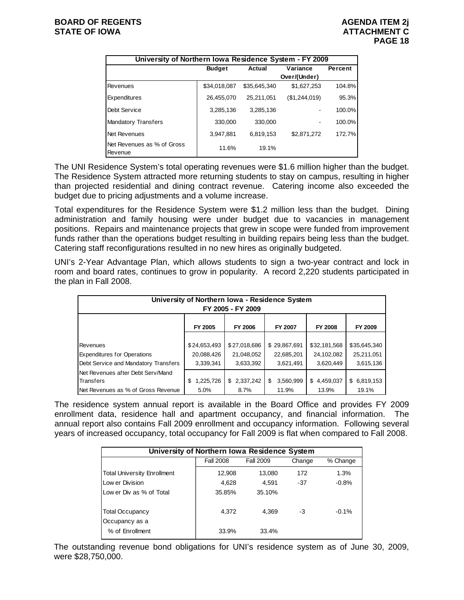| University of Northern Iowa Residence System - FY 2009 |               |              |               |         |  |  |  |  |  |
|--------------------------------------------------------|---------------|--------------|---------------|---------|--|--|--|--|--|
|                                                        | <b>Budget</b> | Actual       | Variance      | Percent |  |  |  |  |  |
|                                                        |               |              | Over/(Under)  |         |  |  |  |  |  |
| Revenues                                               | \$34,018,087  | \$35.645.340 | \$1,627,253   | 104.8%  |  |  |  |  |  |
| Expenditures                                           | 26,455,070    | 25,211,051   | (\$1,244,019) | 95.3%   |  |  |  |  |  |
| Debt Service                                           | 3,285,136     | 3,285,136    |               | 100.0%  |  |  |  |  |  |
| <b>Mandatory Transfers</b>                             | 330,000       | 330,000      |               | 100.0%  |  |  |  |  |  |
| Net Revenues                                           | 3.947.881     | 6,819,153    | \$2,871,272   | 172.7%  |  |  |  |  |  |
| Net Revenues as % of Gross<br>Revenue                  | 11.6%         | 19.1%        |               |         |  |  |  |  |  |

The UNI Residence System's total operating revenues were \$1.6 million higher than the budget. The Residence System attracted more returning students to stay on campus, resulting in higher than projected residential and dining contract revenue. Catering income also exceeded the budget due to pricing adjustments and a volume increase.

Total expenditures for the Residence System were \$1.2 million less than the budget. Dining administration and family housing were under budget due to vacancies in management positions. Repairs and maintenance projects that grew in scope were funded from improvement funds rather than the operations budget resulting in building repairs being less than the budget. Catering staff reconfigurations resulted in no new hires as originally budgeted.

UNI's 2-Year Advantage Plan, which allows students to sign a two-year contract and lock in room and board rates, continues to grow in popularity. A record 2,220 students participated in the plan in Fall 2008.

| University of Northern Iowa - Residence System<br>FY 2005 - FY 2009 |                |                |                 |                |              |  |  |  |  |
|---------------------------------------------------------------------|----------------|----------------|-----------------|----------------|--------------|--|--|--|--|
|                                                                     | FY 2005        | <b>FY 2006</b> | FY 2007         | <b>FY 2008</b> | FY 2009      |  |  |  |  |
|                                                                     |                |                |                 |                |              |  |  |  |  |
| Revenues                                                            | \$24,653,493   | \$27,018,686   | \$29,867,691    | \$32,181,568   | \$35,645,340 |  |  |  |  |
| <b>Expenditures for Operations</b>                                  | 20,088,426     | 21,048,052     | 22,685,201      | 24,102,082     | 25,211,051   |  |  |  |  |
| Debt Service and Mandatory Transfers                                | 3,339,341      | 3,633,392      | 3,621,491       | 3,620,449      | 3,615,136    |  |  |  |  |
| Net Revenues after Debt Serv/Mand                                   |                |                |                 |                |              |  |  |  |  |
| Transfers                                                           | 1,225,726<br>S | \$2,337,242    | 3,560,999<br>\$ | \$4,459,037    | \$6,819,153  |  |  |  |  |
| Net Revenues as % of Gross Revenue                                  | 5.0%           | 8.7%           | 11.9%           | 13.9%          | 19.1%        |  |  |  |  |

The residence system annual report is available in the Board Office and provides FY 2009 enrollment data, residence hall and apartment occupancy, and financial information. The annual report also contains Fall 2009 enrollment and occupancy information. Following several years of increased occupancy, total occupancy for Fall 2009 is flat when compared to Fall 2008.

| University of Northern Iowa Residence System |                  |           |        |          |  |  |  |  |
|----------------------------------------------|------------------|-----------|--------|----------|--|--|--|--|
|                                              | <b>Fall 2008</b> | Fall 2009 | Change | % Change |  |  |  |  |
| <b>Total University Enrollment</b>           | 12,908           | 13,080    | 172    | 1.3%     |  |  |  |  |
| Low er Division                              | 4,628            | 4.591     | $-37$  | $-0.8%$  |  |  |  |  |
| Low er Div as % of Total                     | 35.85%           | 35.10%    |        |          |  |  |  |  |
| <b>Total Occupancy</b><br>Occupancy as a     | 4,372            | 4,369     | -3     | $-0.1%$  |  |  |  |  |
| % of Enrollment                              | 33.9%            | 33.4%     |        |          |  |  |  |  |

The outstanding revenue bond obligations for UNI's residence system as of June 30, 2009, were \$28,750,000.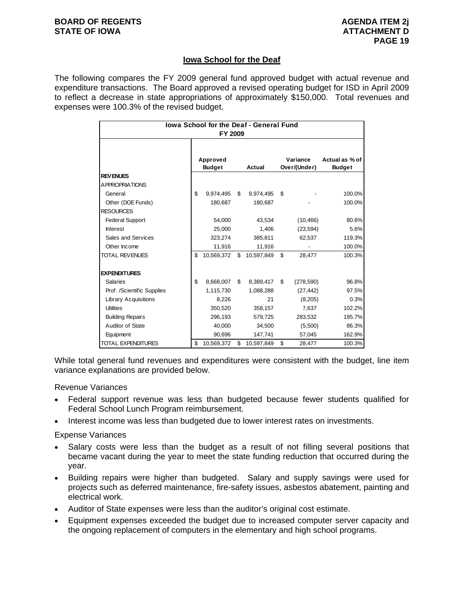## **Iowa School for the Deaf**

The following compares the FY 2009 general fund approved budget with actual revenue and expenditure transactions. The Board approved a revised operating budget for ISD in April 2009 to reflect a decrease in state appropriations of approximately \$150,000. Total revenues and expenses were 100.3% of the revised budget.

| lowa School for the Deaf - General Fund<br>FY 2009 |    |                           |    |            |    |                          |                                 |  |
|----------------------------------------------------|----|---------------------------|----|------------|----|--------------------------|---------------------------------|--|
|                                                    |    | Approved<br><b>Budget</b> |    | Actual     |    | Variance<br>Over/(Under) | Actual as % of<br><b>Budget</b> |  |
| <b>REVENUES</b>                                    |    |                           |    |            |    |                          |                                 |  |
| <b>APPROPRIATIONS</b>                              |    |                           |    |            |    |                          |                                 |  |
| General                                            | \$ | 9,974,495                 | \$ | 9,974,495  | \$ |                          | 100.0%                          |  |
| Other (DOE Funds)                                  |    | 180,687                   |    | 180,687    |    |                          | 100.0%                          |  |
| <b>RESOURCES</b>                                   |    |                           |    |            |    |                          |                                 |  |
| <b>Federal Support</b>                             |    | 54,000                    |    | 43,534     |    | (10, 466)                | 80.6%                           |  |
| <b>Interest</b>                                    |    | 25,000                    |    | 1,406      |    | (23, 594)                | 5.6%                            |  |
| Sales and Services                                 |    | 323,274                   |    | 385,811    |    | 62,537                   | 119.3%                          |  |
| Other Income                                       |    | 11,916                    |    | 11,916     |    |                          | 100.0%                          |  |
| <b>TOTAL REVENUES</b>                              | \$ | 10,569,372                | \$ | 10,597,849 | \$ | 28.477                   | 100.3%                          |  |
| <b>EXPENDITURES</b>                                |    |                           |    |            |    |                          |                                 |  |
| <b>Salaries</b>                                    | \$ | 8,668,007                 | \$ | 8,389,417  | \$ | (278, 590)               | 96.8%                           |  |
| Prof. /Scientific Supplies                         |    | 1,115,730                 |    | 1,088,288  |    | (27, 442)                | 97.5%                           |  |
| <b>Library Acquisitions</b>                        |    | 8,226                     |    | 21         |    | (8,205)                  | 0.3%                            |  |
| <b>Utilities</b>                                   |    | 350,520                   |    | 358,157    |    | 7,637                    | 102.2%                          |  |
| <b>Building Repairs</b>                            |    | 296,193                   |    | 579,725    |    | 283,532                  | 195.7%                          |  |
| Auditor of State                                   |    | 40,000                    |    | 34,500     |    | (5,500)                  | 86.3%                           |  |
| Equipment                                          |    | 90,696                    |    | 147,741    |    | 57,045                   | 162.9%                          |  |
| <b>TOTAL EXPENDITURES</b>                          | \$ | 10,569,372                | \$ | 10,597,849 | \$ | 28,477                   | 100.3%                          |  |

While total general fund revenues and expenditures were consistent with the budget, line item variance explanations are provided below.

Revenue Variances

- Federal support revenue was less than budgeted because fewer students qualified for Federal School Lunch Program reimbursement.
- Interest income was less than budgeted due to lower interest rates on investments.

- Salary costs were less than the budget as a result of not filling several positions that became vacant during the year to meet the state funding reduction that occurred during the year.
- Building repairs were higher than budgeted. Salary and supply savings were used for projects such as deferred maintenance, fire-safety issues, asbestos abatement, painting and electrical work.
- Auditor of State expenses were less than the auditor's original cost estimate.
- Equipment expenses exceeded the budget due to increased computer server capacity and the ongoing replacement of computers in the elementary and high school programs.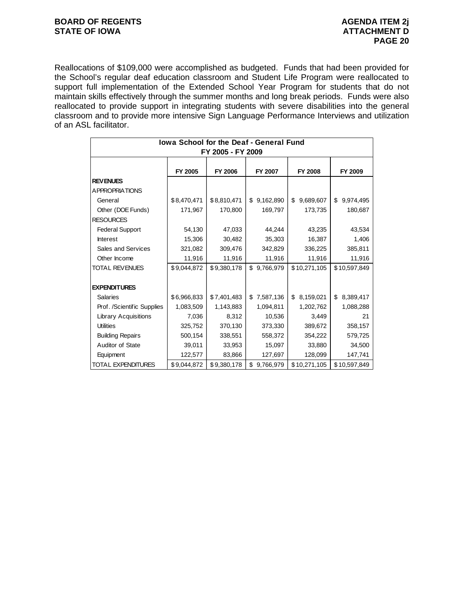### **BOARD OF REGENTS BOARD OF REGENTS** STATE OF IOWA **ATTACHMENT D**

Reallocations of \$109,000 were accomplished as budgeted. Funds that had been provided for the School's regular deaf education classroom and Student Life Program were reallocated to support full implementation of the Extended School Year Program for students that do not maintain skills effectively through the summer months and long break periods. Funds were also reallocated to provide support in integrating students with severe disabilities into the general classroom and to provide more intensive Sign Language Performance Interviews and utilization of an ASL facilitator.

| <b>Iowa School for the Deaf - General Fund</b> |             |             |                 |                 |                 |  |  |  |  |  |
|------------------------------------------------|-------------|-------------|-----------------|-----------------|-----------------|--|--|--|--|--|
| FY 2005 - FY 2009                              |             |             |                 |                 |                 |  |  |  |  |  |
|                                                |             |             |                 |                 |                 |  |  |  |  |  |
|                                                | FY 2005     | FY 2006     | FY 2007         | <b>FY 2008</b>  | FY 2009         |  |  |  |  |  |
| <b>REVENUES</b>                                |             |             |                 |                 |                 |  |  |  |  |  |
| A PPROPRIATIONS                                |             |             |                 |                 |                 |  |  |  |  |  |
| General                                        | \$8,470,471 | \$8,810,471 | 9,162,890<br>\$ | 9,689,607<br>\$ | 9,974,495<br>\$ |  |  |  |  |  |
| Other (DOE Funds)                              | 171,967     | 170,800     | 169,797         | 173,735         | 180,687         |  |  |  |  |  |
| <b>RESOURCES</b>                               |             |             |                 |                 |                 |  |  |  |  |  |
| <b>Federal Support</b>                         | 54,130      | 47,033      | 44,244          | 43,235          | 43,534          |  |  |  |  |  |
| <b>Interest</b>                                | 15,306      | 30,482      | 35,303          | 16,387          | 1,406           |  |  |  |  |  |
| Sales and Services                             | 321,082     | 309,476     | 342,829         | 336,225         | 385,811         |  |  |  |  |  |
| Other Income                                   | 11,916      | 11,916      | 11,916          | 11,916          | 11,916          |  |  |  |  |  |
| <b>TOTAL REVENUES</b>                          | \$9,044,872 | \$9,380,178 | \$9,766,979     | \$10,271,105    | \$10,597,849    |  |  |  |  |  |
|                                                |             |             |                 |                 |                 |  |  |  |  |  |
| <b>EXPENDITURES</b>                            |             |             |                 |                 |                 |  |  |  |  |  |
| <b>Salaries</b>                                | \$6,966,833 | \$7,401,483 | 7,587,136<br>\$ | 8,159,021<br>\$ | 8,389,417<br>\$ |  |  |  |  |  |
| Prof. /Scientific Supplies                     | 1,083,509   | 1,143,883   | 1,094,811       | 1,202,762       | 1,088,288       |  |  |  |  |  |
| Library Acquisitions                           | 7,036       | 8,312       | 10,536          | 3,449           | 21              |  |  |  |  |  |
| <b>Utilities</b>                               | 325,752     | 370,130     | 373,330         | 389,672         | 358,157         |  |  |  |  |  |
| <b>Building Repairs</b>                        | 500,154     | 338,551     | 558,372         | 354,222         | 579,725         |  |  |  |  |  |
| Auditor of State                               | 39,011      | 33,953      | 15,097          | 33,880          | 34,500          |  |  |  |  |  |
| Equipment                                      | 122,577     | 83,866      | 127,697         | 128,099         | 147,741         |  |  |  |  |  |
| <b>TOTAL EXPENDITURES</b>                      | \$9,044,872 | \$9,380,178 | \$<br>9,766,979 | \$10,271,105    | \$10,597,849    |  |  |  |  |  |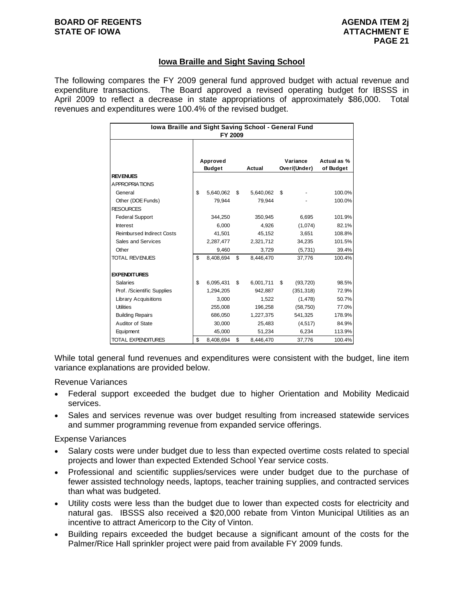## **Iowa Braille and Sight Saving School**

The following compares the FY 2009 general fund approved budget with actual revenue and expenditure transactions. The Board approved a revised operating budget for IBSSS in April 2009 to reflect a decrease in state appropriations of approximately \$86,000. Total revenues and expenditures were 100.4% of the revised budget.

| Iowa Braille and Sight Saving School - General Fund<br>FY 2009 |                           |           |        |           |                          |            |                          |  |
|----------------------------------------------------------------|---------------------------|-----------|--------|-----------|--------------------------|------------|--------------------------|--|
|                                                                | Approved<br><b>Budget</b> |           | Actual |           | Variance<br>Over/(Under) |            | Actual as %<br>of Budget |  |
| <b>REVENUES</b>                                                |                           |           |        |           |                          |            |                          |  |
| A PPROPRIATIONS                                                |                           |           |        |           |                          |            |                          |  |
| General                                                        | \$                        | 5,640,062 | \$     | 5,640,062 | \$                       |            | 100.0%                   |  |
| Other (DOE Funds)                                              |                           | 79,944    |        | 79,944    |                          |            | 100.0%                   |  |
| <b>RESOURCES</b>                                               |                           |           |        |           |                          |            |                          |  |
| <b>Federal Support</b>                                         |                           | 344,250   |        | 350,945   |                          | 6,695      | 101.9%                   |  |
| <b>Interest</b>                                                |                           | 6.000     |        | 4.926     |                          | (1,074)    | 82.1%                    |  |
| <b>Reimbursed Indirect Costs</b>                               |                           | 41,501    |        | 45,152    |                          | 3,651      | 108.8%                   |  |
| Sales and Services                                             |                           | 2,287,477 |        | 2,321,712 |                          | 34,235     | 101.5%                   |  |
| Other                                                          |                           | 9.460     |        | 3.729     |                          | (5,731)    | 39.4%                    |  |
| <b>TOTAL REVENUES</b>                                          | \$                        | 8,408,694 | \$     | 8,446,470 |                          | 37,776     | 100.4%                   |  |
|                                                                |                           |           |        |           |                          |            |                          |  |
| <b>EXPENDITURES</b>                                            |                           |           |        |           |                          |            |                          |  |
| <b>Salaries</b>                                                | \$                        | 6,095,431 | \$     | 6,001,711 | \$                       | (93, 720)  | 98.5%                    |  |
| Prof. /Scientific Supplies                                     |                           | 1,294,205 |        | 942,887   |                          | (351, 318) | 72.9%                    |  |
| <b>Library Acquisitions</b>                                    |                           | 3,000     |        | 1,522     |                          | (1, 478)   | 50.7%                    |  |
| <b>Utilities</b>                                               |                           | 255,008   |        | 196,258   |                          | (58, 750)  | 77.0%                    |  |
| <b>Building Repairs</b>                                        |                           | 686,050   |        | 1,227,375 |                          | 541,325    | 178.9%                   |  |
| Auditor of State                                               |                           | 30,000    |        | 25,483    |                          | (4, 517)   | 84.9%                    |  |
| Equipment                                                      |                           | 45,000    |        | 51,234    |                          | 6,234      | 113.9%                   |  |
| <b>TOTAL EXPENDITURES</b>                                      | \$                        | 8,408,694 | \$     | 8,446,470 |                          | 37,776     | 100.4%                   |  |

While total general fund revenues and expenditures were consistent with the budget, line item variance explanations are provided below.

#### Revenue Variances

- Federal support exceeded the budget due to higher Orientation and Mobility Medicaid services.
- Sales and services revenue was over budget resulting from increased statewide services and summer programming revenue from expanded service offerings.

- Salary costs were under budget due to less than expected overtime costs related to special projects and lower than expected Extended School Year service costs.
- Professional and scientific supplies/services were under budget due to the purchase of fewer assisted technology needs, laptops, teacher training supplies, and contracted services than what was budgeted.
- Utility costs were less than the budget due to lower than expected costs for electricity and natural gas. IBSSS also received a \$20,000 rebate from Vinton Municipal Utilities as an incentive to attract Americorp to the City of Vinton.
- Building repairs exceeded the budget because a significant amount of the costs for the Palmer/Rice Hall sprinkler project were paid from available FY 2009 funds.